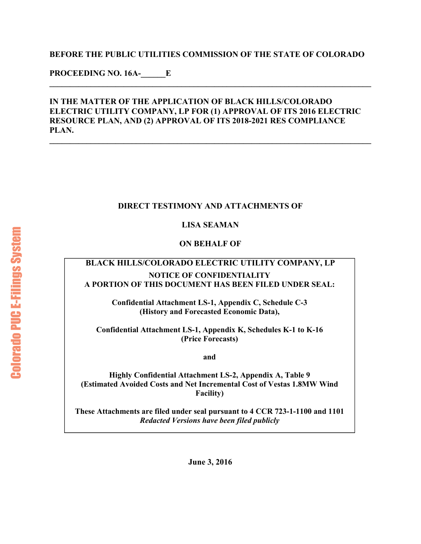#### **BEFORE THE PUBLIC UTILITIES COMMISSION OF THE STATE OF COLORADO**

**\_\_\_\_\_\_\_\_\_\_\_\_\_\_\_\_\_\_\_\_\_\_\_\_\_\_\_\_\_\_\_\_\_\_\_\_\_\_\_\_\_\_\_\_\_\_\_\_\_\_\_\_\_\_\_\_\_\_\_\_\_\_\_\_\_\_\_\_\_\_\_\_\_\_\_\_\_\_** 

**PROCEEDING NO. 16A-\_\_\_\_\_\_E** 

#### **IN THE MATTER OF THE APPLICATION OF BLACK HILLS/COLORADO ELECTRIC UTILITY COMPANY, LP FOR (1) APPROVAL OF ITS 2016 ELECTRIC RESOURCE PLAN, AND (2) APPROVAL OF ITS 2018-2021 RES COMPLIANCE PLAN.**

**\_\_\_\_\_\_\_\_\_\_\_\_\_\_\_\_\_\_\_\_\_\_\_\_\_\_\_\_\_\_\_\_\_\_\_\_\_\_\_\_\_\_\_\_\_\_\_\_\_\_\_\_\_\_\_\_\_\_\_\_\_\_\_\_\_\_\_\_\_\_\_\_\_\_\_\_\_\_** 

#### **DIRECT TESTIMONY AND ATTACHMENTS OF**

#### **LISA SEAMAN**

#### **ON BEHALF OF**

#### **BLACK HILLS/COLORADO ELECTRIC UTILITY COMPANY, LP NOTICE OF CONFIDENTIALITY A PORTION OF THIS DOCUMENT HAS BEEN FILED UNDER SEAL:**

**Confidential Attachment LS-1, Appendix C, Schedule C-3 (History and Forecasted Economic Data),** 

**Confidential Attachment LS-1, Appendix K, Schedules K-1 to K-16 (Price Forecasts)** 

**and** 

**Highly Confidential Attachment LS-2, Appendix A, Table 9 (Estimated Avoided Costs and Net Incremental Cost of Vestas 1.8MW Wind Facility)** 

**These Attachments are filed under seal pursuant to 4 CCR 723-1-1100 and 1101**  *Redacted Versions have been filed publicly*

**June 3, 2016**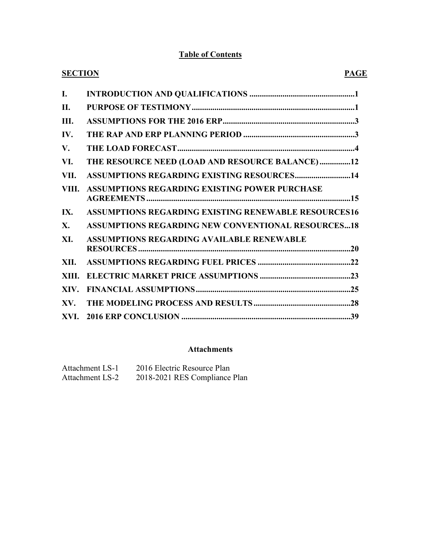#### **Table of Contents**

| <b>SECTION</b><br><b>PAGE</b>                               |
|-------------------------------------------------------------|
|                                                             |
|                                                             |
|                                                             |
|                                                             |
|                                                             |
| THE RESOURCE NEED (LOAD AND RESOURCE BALANCE)12             |
| <b>ASSUMPTIONS REGARDING EXISTING RESOURCES14</b>           |
| ASSUMPTIONS REGARDING EXISTING POWER PURCHASE               |
| <b>ASSUMPTIONS REGARDING EXISTING RENEWABLE RESOURCES16</b> |
| <b>ASSUMPTIONS REGARDING NEW CONVENTIONAL RESOURCES18</b>   |
| <b>ASSUMPTIONS REGARDING AVAILABLE RENEWABLE</b>            |
|                                                             |
|                                                             |
|                                                             |
|                                                             |
|                                                             |
|                                                             |

#### **Attachments**

| <b>Attachment LS-1</b> | 2016 Electric Resource Plan   |
|------------------------|-------------------------------|
| <b>Attachment LS-2</b> | 2018-2021 RES Compliance Plan |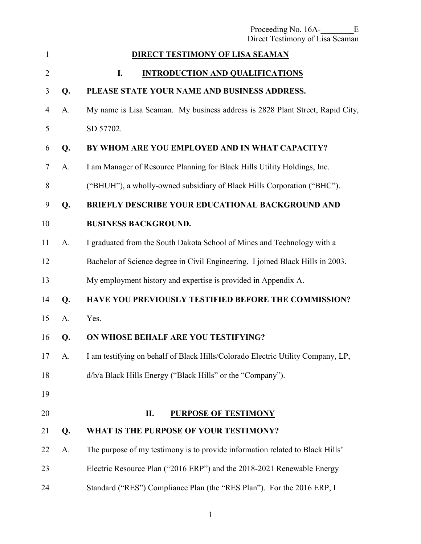<span id="page-2-0"></span>

|                |    | Proceeding No. 16A-<br>Ε<br>Direct Testimony of Lisa Seaman                     |
|----------------|----|---------------------------------------------------------------------------------|
| 1              |    | <b>DIRECT TESTIMONY OF LISA SEAMAN</b>                                          |
| $\overline{2}$ |    | I.<br><b>INTRODUCTION AND QUALIFICATIONS</b>                                    |
| 3              | Q. | PLEASE STATE YOUR NAME AND BUSINESS ADDRESS.                                    |
| $\overline{4}$ | A. | My name is Lisa Seaman. My business address is 2828 Plant Street, Rapid City,   |
| 5              |    | SD 57702.                                                                       |
| 6              | Q. | BY WHOM ARE YOU EMPLOYED AND IN WHAT CAPACITY?                                  |
| 7              | A. | I am Manager of Resource Planning for Black Hills Utility Holdings, Inc.        |
| 8              |    | ("BHUH"), a wholly-owned subsidiary of Black Hills Corporation ("BHC").         |
| 9              | Q. | <b>BRIEFLY DESCRIBE YOUR EDUCATIONAL BACKGROUND AND</b>                         |
| 10             |    | <b>BUSINESS BACKGROUND.</b>                                                     |
| 11             | A. | I graduated from the South Dakota School of Mines and Technology with a         |
| 12             |    | Bachelor of Science degree in Civil Engineering. I joined Black Hills in 2003.  |
| 13             |    | My employment history and expertise is provided in Appendix A.                  |
| 14             | Q. | <b>HAVE YOU PREVIOUSLY TESTIFIED BEFORE THE COMMISSION?</b>                     |
| 15             | A. | Yes.                                                                            |
| 16             | Q. | ON WHOSE BEHALF ARE YOU TESTIFYING?                                             |
| 17             | A. | I am testifying on behalf of Black Hills/Colorado Electric Utility Company, LP, |
| 18             |    | d/b/a Black Hills Energy ("Black Hills" or the "Company").                      |
| 19             |    |                                                                                 |
| 20             |    | П.<br><b>PURPOSE OF TESTIMONY</b>                                               |
| 21             | Q. | WHAT IS THE PURPOSE OF YOUR TESTIMONY?                                          |
| 22             | A. | The purpose of my testimony is to provide information related to Black Hills'   |
| 23             |    | Electric Resource Plan ("2016 ERP") and the 2018-2021 Renewable Energy          |
| 24             |    | Standard ("RES") Compliance Plan (the "RES Plan"). For the 2016 ERP, I          |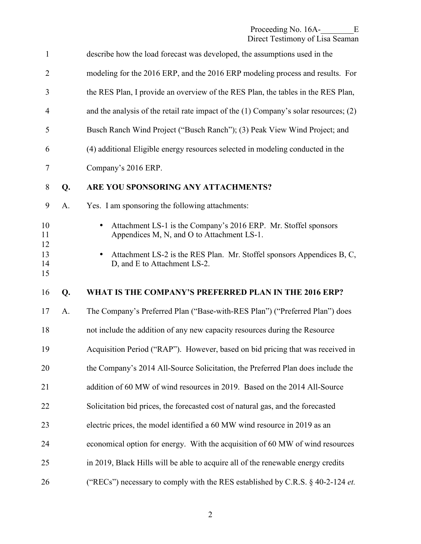| $\mathbf{1}$   |    | describe how the load forecast was developed, the assumptions used in the                                                  |
|----------------|----|----------------------------------------------------------------------------------------------------------------------------|
| $\overline{2}$ |    | modeling for the 2016 ERP, and the 2016 ERP modeling process and results. For                                              |
| 3              |    | the RES Plan, I provide an overview of the RES Plan, the tables in the RES Plan,                                           |
| 4              |    | and the analysis of the retail rate impact of the $(1)$ Company's solar resources; $(2)$                                   |
| 5              |    | Busch Ranch Wind Project ("Busch Ranch"); (3) Peak View Wind Project; and                                                  |
| 6              |    | (4) additional Eligible energy resources selected in modeling conducted in the                                             |
| 7              |    | Company's 2016 ERP.                                                                                                        |
| 8              | Q. | ARE YOU SPONSORING ANY ATTACHMENTS?                                                                                        |
| 9              | A. | Yes. I am sponsoring the following attachments:                                                                            |
| 10<br>11       |    | Attachment LS-1 is the Company's 2016 ERP. Mr. Stoffel sponsors<br>$\bullet$<br>Appendices M, N, and O to Attachment LS-1. |
| 12<br>13<br>14 |    | Attachment LS-2 is the RES Plan. Mr. Stoffel sponsors Appendices B, C,<br>$\bullet$<br>D, and E to Attachment LS-2.        |
| 15             |    |                                                                                                                            |
| 16             | Q. | WHAT IS THE COMPANY'S PREFERRED PLAN IN THE 2016 ERP?                                                                      |
| 17             | A. | The Company's Preferred Plan ("Base-with-RES Plan") ("Preferred Plan") does                                                |
| 18             |    | not include the addition of any new capacity resources during the Resource                                                 |
| 19             |    | Acquisition Period ("RAP"). However, based on bid pricing that was received in                                             |
| 20             |    | the Company's 2014 All-Source Solicitation, the Preferred Plan does include the                                            |
| 21             |    | addition of 60 MW of wind resources in 2019. Based on the 2014 All-Source                                                  |
| 22             |    | Solicitation bid prices, the forecasted cost of natural gas, and the forecasted                                            |
| 23             |    | electric prices, the model identified a 60 MW wind resource in 2019 as an                                                  |
| 24             |    | economical option for energy. With the acquisition of 60 MW of wind resources                                              |
| 25             |    | in 2019, Black Hills will be able to acquire all of the renewable energy credits                                           |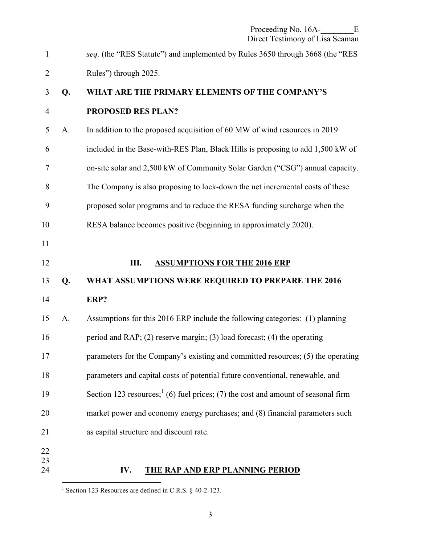<span id="page-4-0"></span>1 *seq.* (the "RES Statute") and implemented by Rules 3650 through 3668 (the "RES 2 Rules") through 2025.

# 3 **Q. WHAT ARE THE PRIMARY ELEMENTS OF THE COMPANY'S**  4 **PROPOSED RES PLAN?**

- 5 A. In addition to the proposed acquisition of 60 MW of wind resources in 2019 6 included in the Base-with-RES Plan, Black Hills is proposing to add 1,500 kW of 7 on-site solar and 2,500 kW of Community Solar Garden ("CSG") annual capacity. 8 The Company is also proposing to lock-down the net incremental costs of these 9 proposed solar programs and to reduce the RESA funding surcharge when the
- 10 RESA balance becomes positive (beginning in approximately 2020).
- 12 **III. ASSUMPTIONS FOR THE 2016 ERP**

#### 13 **Q. WHAT ASSUMPTIONS WERE REQUIRED TO PREPARE THE 2016**

14 **ERP?** 

11

23

| 15 | A. | Assumptions for this 2016 ERP include the following categories: (1) planning       |
|----|----|------------------------------------------------------------------------------------|
| 16 |    | period and RAP; (2) reserve margin; (3) load forecast; (4) the operating           |
| 17 |    | parameters for the Company's existing and committed resources; (5) the operating   |
| 18 |    | parameters and capital costs of potential future conventional, renewable, and      |
| 19 |    | Section 123 resources; $(6)$ fuel prices; (7) the cost and amount of seasonal firm |
| 20 |    | market power and economy energy purchases; and (8) financial parameters such       |
| 21 |    | as capital structure and discount rate.                                            |
| 22 |    |                                                                                    |

24 **IV. THE RAP AND ERP PLANNING PERIOD** 

 $\overline{a}$ <sup>1</sup> Section 123 Resources are defined in C.R.S. § 40-2-123.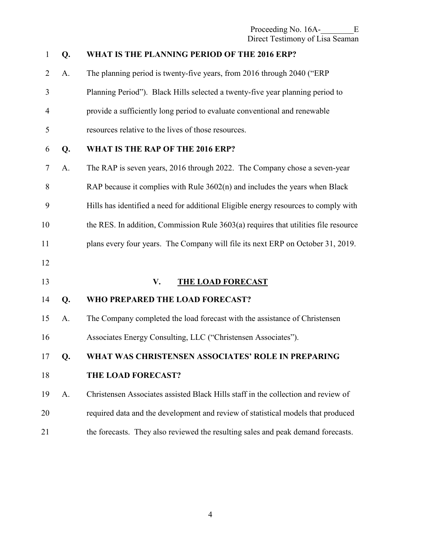<span id="page-5-0"></span>

| $\mathbf{1}$   | Q. | WHAT IS THE PLANNING PERIOD OF THE 2016 ERP?                                        |
|----------------|----|-------------------------------------------------------------------------------------|
| $\overline{2}$ | A. | The planning period is twenty-five years, from 2016 through 2040 ("ERP              |
| 3              |    | Planning Period"). Black Hills selected a twenty-five year planning period to       |
| $\overline{4}$ |    | provide a sufficiently long period to evaluate conventional and renewable           |
| 5              |    | resources relative to the lives of those resources.                                 |
| 6              | Q. | WHAT IS THE RAP OF THE 2016 ERP?                                                    |
| $\tau$         | A. | The RAP is seven years, 2016 through 2022. The Company chose a seven-year           |
| 8              |    | RAP because it complies with Rule 3602(n) and includes the years when Black         |
| 9              |    | Hills has identified a need for additional Eligible energy resources to comply with |
| 10             |    | the RES. In addition, Commission Rule 3603(a) requires that utilities file resource |
| 11             |    | plans every four years. The Company will file its next ERP on October 31, 2019.     |
| 12             |    |                                                                                     |
| 13             |    | V.<br><b>THE LOAD FORECAST</b>                                                      |
| 14             | Q. | WHO PREPARED THE LOAD FORECAST?                                                     |
| 15             | A. | The Company completed the load forecast with the assistance of Christensen          |
| 16             |    | Associates Energy Consulting, LLC ("Christensen Associates").                       |
| 17             | Q. | WHAT WAS CHRISTENSEN ASSOCIATES' ROLE IN PREPARING                                  |
| 18             |    | THE LOAD FORECAST?                                                                  |
| 19             | A. | Christensen Associates assisted Black Hills staff in the collection and review of   |
| 20             |    | required data and the development and review of statistical models that produced    |
| 21             |    | the forecasts. They also reviewed the resulting sales and peak demand forecasts.    |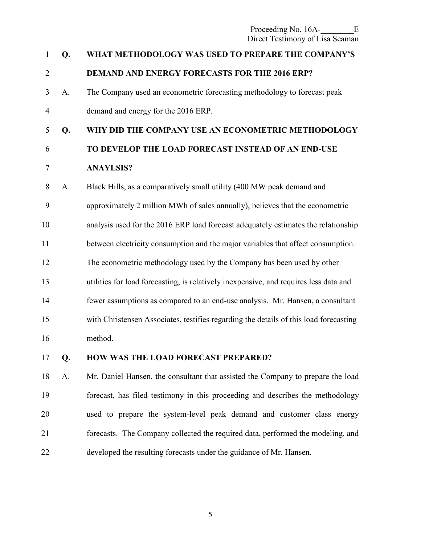Proceeding No. 16A-<br>E Direct Testimony of Lisa Seaman

# 1 **Q. WHAT METHODOLOGY WAS USED TO PREPARE THE COMPANY'S**  2 **DEMAND AND ENERGY FORECASTS FOR THE 2016 ERP?**  3 A. The Company used an econometric forecasting methodology to forecast peak 4 demand and energy for the 2016 ERP. 5 **Q. WHY DID THE COMPANY USE AN ECONOMETRIC METHODOLOGY**  6 **TO DEVELOP THE LOAD FORECAST INSTEAD OF AN END-USE**  7 **ANAYLSIS?**  8 A. Black Hills, as a comparatively small utility (400 MW peak demand and 9 approximately 2 million MWh of sales annually), believes that the econometric 10 analysis used for the 2016 ERP load forecast adequately estimates the relationship 11 between electricity consumption and the major variables that affect consumption. 12 The econometric methodology used by the Company has been used by other 13 utilities for load forecasting, is relatively inexpensive, and requires less data and 14 fewer assumptions as compared to an end-use analysis. Mr. Hansen, a consultant 15 with Christensen Associates, testifies regarding the details of this load forecasting 16 method. 17 **Q. HOW WAS THE LOAD FORECAST PREPARED?**

18 A. Mr. Daniel Hansen, the consultant that assisted the Company to prepare the load 19 forecast, has filed testimony in this proceeding and describes the methodology 20 used to prepare the system-level peak demand and customer class energy 21 forecasts. The Company collected the required data, performed the modeling, and 22 developed the resulting forecasts under the guidance of Mr. Hansen.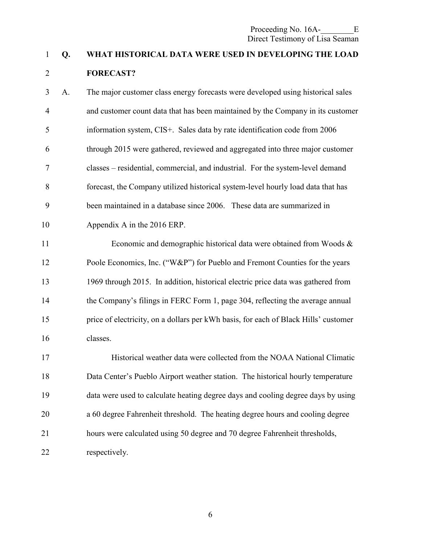## 1 **Q. WHAT HISTORICAL DATA WERE USED IN DEVELOPING THE LOAD**  2 **FORECAST?**

3 A. The major customer class energy forecasts were developed using historical sales 4 and customer count data that has been maintained by the Company in its customer 5 information system, CIS+. Sales data by rate identification code from 2006 6 through 2015 were gathered, reviewed and aggregated into three major customer 7 classes – residential, commercial, and industrial. For the system-level demand 8 forecast, the Company utilized historical system-level hourly load data that has 9 been maintained in a database since 2006. These data are summarized in 10 Appendix A in the 2016 ERP.

11 Economic and demographic historical data were obtained from Woods & 12 Poole Economics, Inc. ("W&P") for Pueblo and Fremont Counties for the years 13 1969 through 2015. In addition, historical electric price data was gathered from 14 the Company's filings in FERC Form 1, page 304, reflecting the average annual 15 price of electricity, on a dollars per kWh basis, for each of Black Hills' customer 16 classes.

17 Historical weather data were collected from the NOAA National Climatic 18 Data Center's Pueblo Airport weather station. The historical hourly temperature 19 data were used to calculate heating degree days and cooling degree days by using 20 a 60 degree Fahrenheit threshold. The heating degree hours and cooling degree 21 hours were calculated using 50 degree and 70 degree Fahrenheit thresholds, 22 respectively.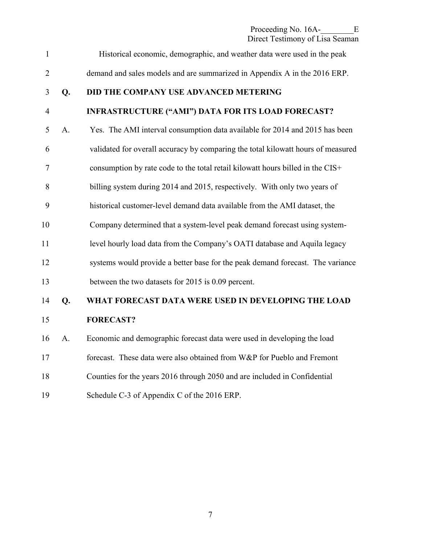Proceeding No. 16A-<br>E Direct Testimony of Lisa Seaman

1 Historical economic, demographic, and weather data were used in the peak 2 demand and sales models and are summarized in Appendix A in the 2016 ERP. 3 **Q. DID THE COMPANY USE ADVANCED METERING**  4 **INFRASTRUCTURE ("AMI") DATA FOR ITS LOAD FORECAST?**  5 A. Yes. The AMI interval consumption data available for 2014 and 2015 has been 6 validated for overall accuracy by comparing the total kilowatt hours of measured 7 consumption by rate code to the total retail kilowatt hours billed in the CIS+ 8 billing system during 2014 and 2015, respectively. With only two years of 9 historical customer-level demand data available from the AMI dataset, the 10 Company determined that a system-level peak demand forecast using system-11 level hourly load data from the Company's OATI database and Aquila legacy 12 systems would provide a better base for the peak demand forecast. The variance 13 between the two datasets for 2015 is 0.09 percent. 14 **Q. WHAT FORECAST DATA WERE USED IN DEVELOPING THE LOAD**  15 **FORECAST?**  16 A. Economic and demographic forecast data were used in developing the load 17 forecast. These data were also obtained from W&P for Pueblo and Fremont 18 Counties for the years 2016 through 2050 and are included in Confidential 19 Schedule C-3 of Appendix C of the 2016 ERP.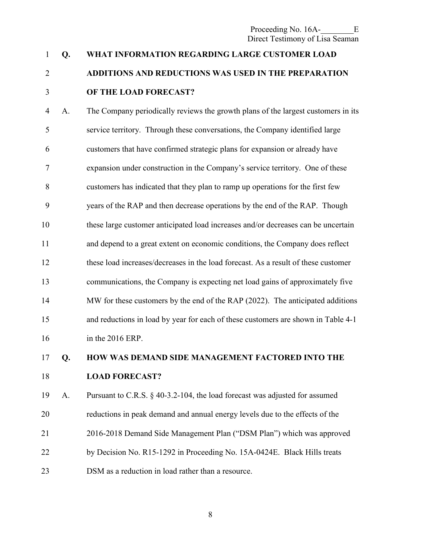Proceeding No. 16A-<br>E Direct Testimony of Lisa Seaman

## 1 **Q. WHAT INFORMATION REGARDING LARGE CUSTOMER LOAD**  2 **ADDITIONS AND REDUCTIONS WAS USED IN THE PREPARATION**  3 **OF THE LOAD FORECAST?**

4 A. The Company periodically reviews the growth plans of the largest customers in its 5 service territory. Through these conversations, the Company identified large 6 customers that have confirmed strategic plans for expansion or already have 7 expansion under construction in the Company's service territory. One of these 8 customers has indicated that they plan to ramp up operations for the first few 9 years of the RAP and then decrease operations by the end of the RAP. Though 10 these large customer anticipated load increases and/or decreases can be uncertain 11 and depend to a great extent on economic conditions, the Company does reflect 12 these load increases/decreases in the load forecast. As a result of these customer 13 communications, the Company is expecting net load gains of approximately five 14 MW for these customers by the end of the RAP (2022). The anticipated additions 15 and reductions in load by year for each of these customers are shown in Table 4-1 16 in the 2016 ERP.

17 **Q. HOW WAS DEMAND SIDE MANAGEMENT FACTORED INTO THE** 

#### 18 **LOAD FORECAST?**

19 A. Pursuant to C.R.S. § 40-3.2-104, the load forecast was adjusted for assumed 20 reductions in peak demand and annual energy levels due to the effects of the 21 2016-2018 Demand Side Management Plan ("DSM Plan") which was approved 22 by Decision No. R15-1292 in Proceeding No. 15A-0424E. Black Hills treats 23 DSM as a reduction in load rather than a resource.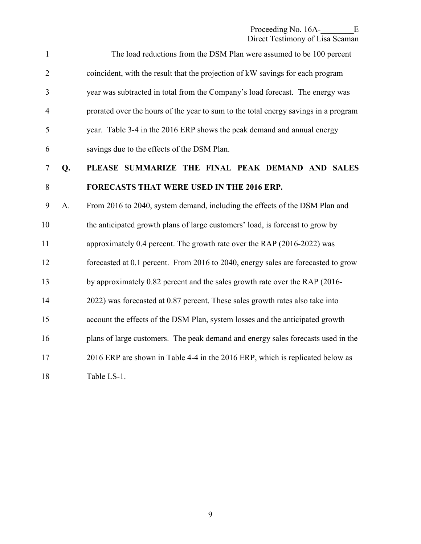| $\mathbf{1}$   |    | The load reductions from the DSM Plan were assumed to be 100 percent                |
|----------------|----|-------------------------------------------------------------------------------------|
| $\overline{2}$ |    | coincident, with the result that the projection of kW savings for each program      |
| 3              |    | year was subtracted in total from the Company's load forecast. The energy was       |
| $\overline{4}$ |    | prorated over the hours of the year to sum to the total energy savings in a program |
| 5              |    | year. Table 3-4 in the 2016 ERP shows the peak demand and annual energy             |
| 6              |    | savings due to the effects of the DSM Plan.                                         |
| $\tau$         | Q. | PLEASE SUMMARIZE THE FINAL PEAK DEMAND AND SALES                                    |
| 8              |    | <b>FORECASTS THAT WERE USED IN THE 2016 ERP.</b>                                    |
| 9              | A. | From 2016 to 2040, system demand, including the effects of the DSM Plan and         |
| 10             |    | the anticipated growth plans of large customers' load, is forecast to grow by       |
| 11             |    | approximately 0.4 percent. The growth rate over the RAP (2016-2022) was             |
| 12             |    | forecasted at 0.1 percent. From 2016 to 2040, energy sales are forecasted to grow   |
| 13             |    | by approximately 0.82 percent and the sales growth rate over the RAP (2016-         |
| 14             |    | 2022) was forecasted at 0.87 percent. These sales growth rates also take into       |
| 15             |    | account the effects of the DSM Plan, system losses and the anticipated growth       |
| 16             |    | plans of large customers. The peak demand and energy sales forecasts used in the    |
| 17             |    | 2016 ERP are shown in Table 4-4 in the 2016 ERP, which is replicated below as       |
| 18             |    | Table LS-1.                                                                         |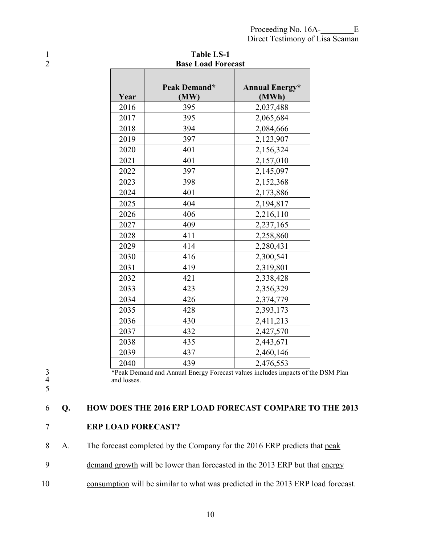| 2 |      | <b>Base Load Forecast</b> |                       |
|---|------|---------------------------|-----------------------|
|   |      | Peak Demand*              | <b>Annual Energy*</b> |
|   | Year | (MW)                      | (MWh)                 |
|   | 2016 | 395                       | 2,037,488             |
|   | 2017 | 395                       | 2,065,684             |
|   | 2018 | 394                       | 2,084,666             |
|   | 2019 | 397                       | 2,123,907             |
|   | 2020 | 401                       | 2,156,324             |
|   | 2021 | 401                       | 2,157,010             |
|   | 2022 | 397                       | 2,145,097             |
|   | 2023 | 398                       | 2,152,368             |
|   | 2024 | 401                       | 2,173,886             |
|   | 2025 | 404                       | 2,194,817             |
|   | 2026 | 406                       | 2,216,110             |
|   | 2027 | 409                       | 2,237,165             |
|   | 2028 | 411                       | 2,258,860             |
|   | 2029 | 414                       | 2,280,431             |
|   | 2030 | 416                       | 2,300,541             |
|   | 2031 | 419                       | 2,319,801             |
|   | 2032 | 421                       | 2,338,428             |
|   | 2033 | 423                       | 2,356,329             |
|   | 2034 | 426                       | 2,374,779             |
|   | 2035 | 428                       | 2,393,173             |
|   | 2036 | 430                       | 2,411,213             |
|   | 2037 | 432                       | 2,427,570             |
|   | 2038 | 435                       | 2,443,671             |
|   | 2039 | 437                       | 2,460,146             |
|   | 2040 | 439                       | 2,476,553             |

1 Table LS-1<br>2 Base Load Fore

<sup>2</sup>Peak Demand and Annual Energy Forecast values includes impacts of the DSM Plan and losses. and losses.

### 5

### 6 **Q. HOW DOES THE 2016 ERP LOAD FORECAST COMPARE TO THE 2013**

#### 7 **ERP LOAD FORECAST?**

8 A. The forecast completed by the Company for the 2016 ERP predicts that peak

- 9 demand growth will be lower than forecasted in the 2013 ERP but that energy
- 10 consumption will be similar to what was predicted in the 2013 ERP load forecast.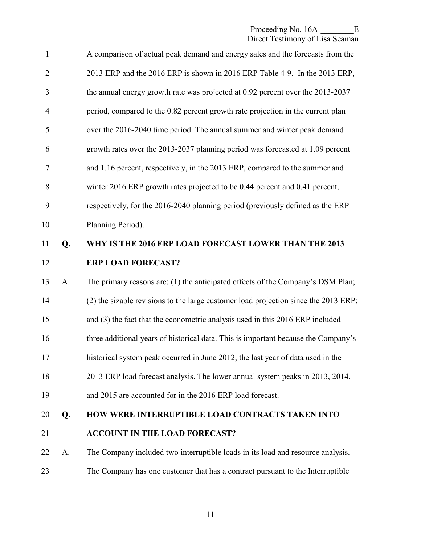| $\mathbf{1}$   |    | A comparison of actual peak demand and energy sales and the forecasts from the      |
|----------------|----|-------------------------------------------------------------------------------------|
| $\overline{2}$ |    | 2013 ERP and the 2016 ERP is shown in 2016 ERP Table 4-9. In the 2013 ERP,          |
| 3              |    | the annual energy growth rate was projected at 0.92 percent over the 2013-2037      |
| $\overline{4}$ |    | period, compared to the 0.82 percent growth rate projection in the current plan     |
| 5              |    | over the 2016-2040 time period. The annual summer and winter peak demand            |
| 6              |    | growth rates over the 2013-2037 planning period was forecasted at 1.09 percent      |
| 7              |    | and 1.16 percent, respectively, in the 2013 ERP, compared to the summer and         |
| 8              |    | winter 2016 ERP growth rates projected to be 0.44 percent and 0.41 percent,         |
| 9              |    | respectively, for the 2016-2040 planning period (previously defined as the ERP      |
| 10             |    | Planning Period).                                                                   |
| 11             | Q. | WHY IS THE 2016 ERP LOAD FORECAST LOWER THAN THE 2013                               |
| 12             |    | <b>ERP LOAD FORECAST?</b>                                                           |
| 13             | A. | The primary reasons are: (1) the anticipated effects of the Company's DSM Plan;     |
| 14             |    | (2) the sizable revisions to the large customer load projection since the 2013 ERP; |
| 15             |    | and (3) the fact that the econometric analysis used in this 2016 ERP included       |
| 16             |    | three additional years of historical data. This is important because the Company's  |
| 17             |    | historical system peak occurred in June 2012, the last year of data used in the     |
| 18             |    | 2013 ERP load forecast analysis. The lower annual system peaks in 2013, 2014,       |
| 19             |    | and 2015 are accounted for in the 2016 ERP load forecast.                           |
| 20             | Q. | HOW WERE INTERRUPTIBLE LOAD CONTRACTS TAKEN INTO                                    |
| 21             |    | <b>ACCOUNT IN THE LOAD FORECAST?</b>                                                |
| 22             | A. | The Company included two interruptible loads in its load and resource analysis.     |
| 23             |    | The Company has one customer that has a contract pursuant to the Interruptible      |
|                |    |                                                                                     |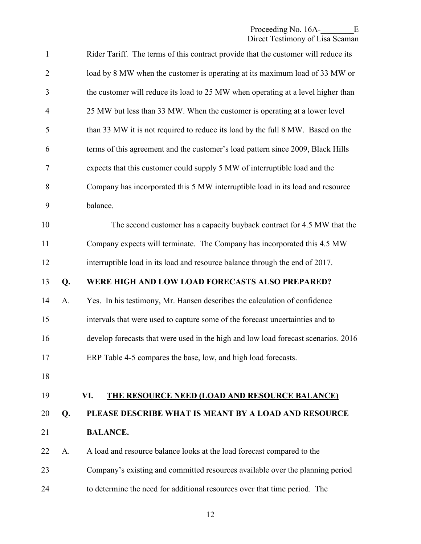<span id="page-13-0"></span>

| $\mathbf{1}$   |    | Rider Tariff. The terms of this contract provide that the customer will reduce its |
|----------------|----|------------------------------------------------------------------------------------|
| $\overline{2}$ |    | load by 8 MW when the customer is operating at its maximum load of 33 MW or        |
| 3              |    | the customer will reduce its load to 25 MW when operating at a level higher than   |
| $\overline{4}$ |    | 25 MW but less than 33 MW. When the customer is operating at a lower level         |
| 5              |    | than 33 MW it is not required to reduce its load by the full 8 MW. Based on the    |
| 6              |    | terms of this agreement and the customer's load pattern since 2009, Black Hills    |
| 7              |    | expects that this customer could supply 5 MW of interruptible load and the         |
| $8\,$          |    | Company has incorporated this 5 MW interruptible load in its load and resource     |
| 9              |    | balance.                                                                           |
| 10             |    | The second customer has a capacity buyback contract for 4.5 MW that the            |
| 11             |    | Company expects will terminate. The Company has incorporated this 4.5 MW           |
| 12             |    | interruptible load in its load and resource balance through the end of 2017.       |
| 13             | Q. | WERE HIGH AND LOW LOAD FORECASTS ALSO PREPARED?                                    |
| 14             | A. | Yes. In his testimony, Mr. Hansen describes the calculation of confidence          |
| 15             |    | intervals that were used to capture some of the forecast uncertainties and to      |
| 16             |    | develop forecasts that were used in the high and low load forecast scenarios. 2016 |
| 17             |    | ERP Table 4-5 compares the base, low, and high load forecasts.                     |
| 18             |    |                                                                                    |
| 19             |    | VI.<br><b>THE RESOURCE NEED (LOAD AND RESOURCE BALANCE)</b>                        |
| 20             | Q. | PLEASE DESCRIBE WHAT IS MEANT BY A LOAD AND RESOURCE                               |
| 21             |    | <b>BALANCE.</b>                                                                    |
| 22             | A. | A load and resource balance looks at the load forecast compared to the             |
| 23             |    | Company's existing and committed resources available over the planning period      |
| 24             |    | to determine the need for additional resources over that time period. The          |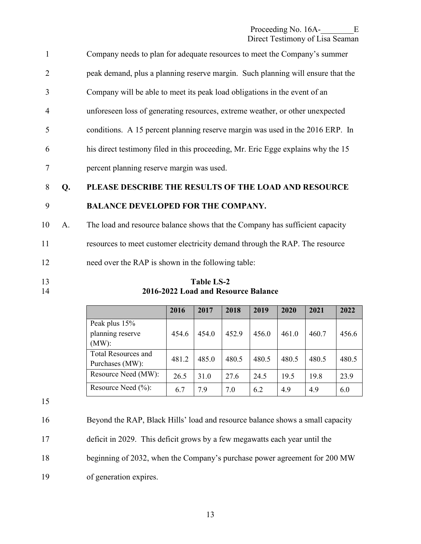| 2<br>3<br>Company will be able to meet its peak load obligations in the event of an<br>unforeseen loss of generating resources, extreme weather, or other unexpected<br>$\overline{4}$<br>5<br>6<br>his direct testimony filed in this proceeding, Mr. Eric Egge explains why the 15<br>percent planning reserve margin was used. | $\mathbf{1}$ | Company needs to plan for adequate resources to meet the Company's summer       |
|-----------------------------------------------------------------------------------------------------------------------------------------------------------------------------------------------------------------------------------------------------------------------------------------------------------------------------------|--------------|---------------------------------------------------------------------------------|
|                                                                                                                                                                                                                                                                                                                                   |              | peak demand, plus a planning reserve margin. Such planning will ensure that the |
|                                                                                                                                                                                                                                                                                                                                   |              |                                                                                 |
|                                                                                                                                                                                                                                                                                                                                   |              |                                                                                 |
|                                                                                                                                                                                                                                                                                                                                   |              | conditions. A 15 percent planning reserve margin was used in the 2016 ERP. In   |
|                                                                                                                                                                                                                                                                                                                                   |              |                                                                                 |
|                                                                                                                                                                                                                                                                                                                                   |              |                                                                                 |

#### 8 **Q. PLEASE DESCRIBE THE RESULTS OF THE LOAD AND RESOURCE**

#### 9 **BALANCE DEVELOPED FOR THE COMPANY.**

10 A. The load and resource balance shows that the Company has sufficient capacity 11 resources to meet customer electricity demand through the RAP. The resource 12 need over the RAP is shown in the following table:

13 **Table LS-2**<br>14 **2016-2022 Load and Reso** 14 **2016-2022 Load and Resource Balance** 

|                        | 2016  | 2017  | 2018  | 2019  | 2020  | 2021  | 2022  |
|------------------------|-------|-------|-------|-------|-------|-------|-------|
| Peak plus 15%          |       |       |       |       |       |       |       |
| planning reserve       | 454.6 | 454.0 | 452.9 | 456.0 | 461.0 | 460.7 | 456.6 |
| $(MW)$ :               |       |       |       |       |       |       |       |
| Total Resources and    |       | 485.0 |       |       |       | 480.5 |       |
| Purchases (MW):        | 481.2 |       | 480.5 | 480.5 | 480.5 |       | 480.5 |
| Resource Need (MW):    | 26.5  | 31.0  | 27.6  | 24.5  | 19.5  | 19.8  | 23.9  |
| Resource Need $(\%)$ : | 6.7   | 7.9   | 7.0   | 6.2   | 4.9   | 4.9   | 6.0   |

15

16 Beyond the RAP, Black Hills' load and resource balance shows a small capacity 17 deficit in 2029. This deficit grows by a few megawatts each year until the 18 beginning of 2032, when the Company's purchase power agreement for 200 MW 19 of generation expires.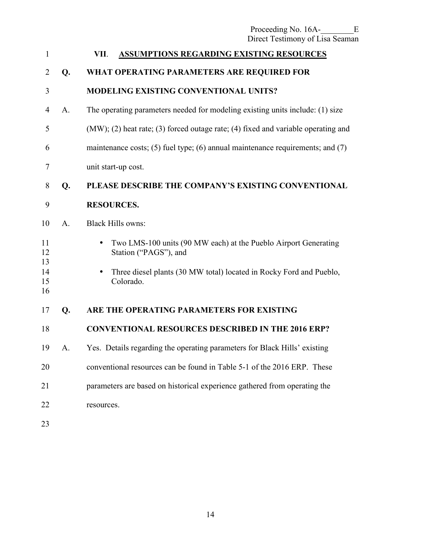| Proceeding No. 16A-             | Е. |  |
|---------------------------------|----|--|
| Direct Testimony of Lisa Seaman |    |  |

<span id="page-15-0"></span>

| $\mathbf{1}$   |    | <b>ASSUMPTIONS REGARDING EXISTING RESOURCES</b><br>VII.                                  |
|----------------|----|------------------------------------------------------------------------------------------|
| 2              | Q. | WHAT OPERATING PARAMETERS ARE REQUIRED FOR                                               |
| 3              |    | <b>MODELING EXISTING CONVENTIONAL UNITS?</b>                                             |
| 4              | A. | The operating parameters needed for modeling existing units include: (1) size            |
| 5              |    | $(MW)$ ; (2) heat rate; (3) forced outage rate; (4) fixed and variable operating and     |
| 6              |    | maintenance costs; (5) fuel type; (6) annual maintenance requirements; and (7)           |
| 7              |    | unit start-up cost.                                                                      |
| 8              | Q. | PLEASE DESCRIBE THE COMPANY'S EXISTING CONVENTIONAL                                      |
| 9              |    | <b>RESOURCES.</b>                                                                        |
| 10             | A. | <b>Black Hills owns:</b>                                                                 |
| 11<br>12<br>13 |    | Two LMS-100 units (90 MW each) at the Pueblo Airport Generating<br>Station ("PAGS"), and |
| 14<br>15<br>16 |    | Three diesel plants (30 MW total) located in Rocky Ford and Pueblo,<br>Colorado.         |
| 17             | Q. | ARE THE OPERATING PARAMETERS FOR EXISTING                                                |
| 18             |    | <b>CONVENTIONAL RESOURCES DESCRIBED IN THE 2016 ERP?</b>                                 |
| 19             | A. | Yes. Details regarding the operating parameters for Black Hills' existing                |
| 20             |    | conventional resources can be found in Table 5-1 of the 2016 ERP. These                  |
| 21             |    | parameters are based on historical experience gathered from operating the                |
| 22             |    | resources.                                                                               |
| 23             |    |                                                                                          |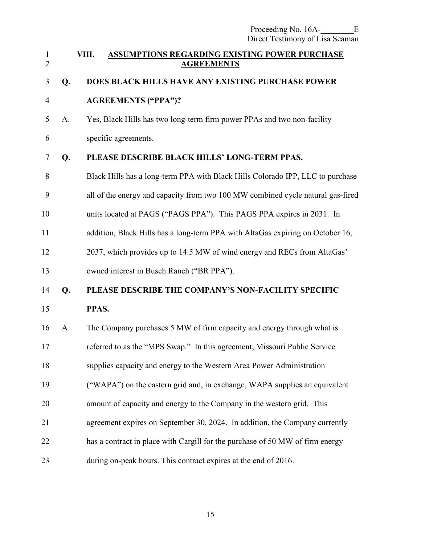<span id="page-16-0"></span>

| $\mathbf{1}$<br>$\overline{2}$ |    | VIII. | ASSUMPTIONS REGARDING EXISTING POWER PURCHASE<br><b>AGREEMENTS</b>              |
|--------------------------------|----|-------|---------------------------------------------------------------------------------|
| 3                              | Q. |       | DOES BLACK HILLS HAVE ANY EXISTING PURCHASE POWER                               |
| $\overline{4}$                 |    |       | <b>AGREEMENTS ("PPA")?</b>                                                      |
| 5                              | A. |       | Yes, Black Hills has two long-term firm power PPAs and two non-facility         |
| 6                              |    |       | specific agreements.                                                            |
| $\overline{7}$                 | Q. |       | PLEASE DESCRIBE BLACK HILLS' LONG-TERM PPAS.                                    |
| 8                              |    |       | Black Hills has a long-term PPA with Black Hills Colorado IPP, LLC to purchase  |
| 9                              |    |       | all of the energy and capacity from two 100 MW combined cycle natural gas-fired |
| 10                             |    |       | units located at PAGS ("PAGS PPA"). This PAGS PPA expires in 2031. In           |
| 11                             |    |       | addition, Black Hills has a long-term PPA with AltaGas expiring on October 16,  |
| 12                             |    |       | 2037, which provides up to 14.5 MW of wind energy and RECs from AltaGas'        |
| 13                             |    |       | owned interest in Busch Ranch ("BR PPA").                                       |
| 14                             | Q. |       | PLEASE DESCRIBE THE COMPANY'S NON-FACILITY SPECIFIC                             |
| 15                             |    | PPAS. |                                                                                 |
| 16                             | A. |       | The Company purchases 5 MW of firm capacity and energy through what is          |
| 17                             |    |       | referred to as the "MPS Swap." In this agreement, Missouri Public Service       |
| 18                             |    |       | supplies capacity and energy to the Western Area Power Administration           |
| 19                             |    |       | ("WAPA") on the eastern grid and, in exchange, WAPA supplies an equivalent      |
| 20                             |    |       | amount of capacity and energy to the Company in the western grid. This          |
| 21                             |    |       | agreement expires on September 30, 2024. In addition, the Company currently     |
| 22                             |    |       | has a contract in place with Cargill for the purchase of 50 MW of firm energy   |
| 23                             |    |       | during on-peak hours. This contract expires at the end of 2016.                 |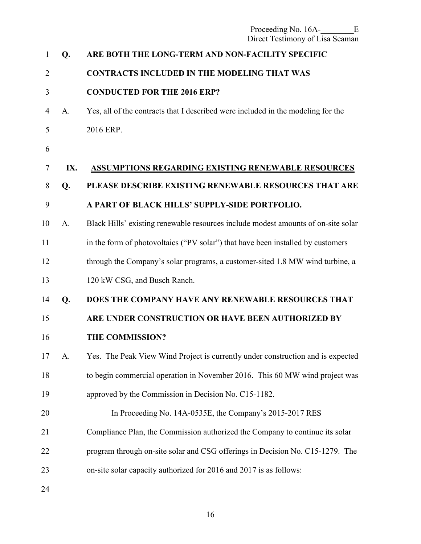<span id="page-17-0"></span>

| 1              | Q.  | ARE BOTH THE LONG-TERM AND NON-FACILITY SPECIFIC                                  |
|----------------|-----|-----------------------------------------------------------------------------------|
| $\overline{2}$ |     | <b>CONTRACTS INCLUDED IN THE MODELING THAT WAS</b>                                |
| 3              |     | <b>CONDUCTED FOR THE 2016 ERP?</b>                                                |
| 4              | A.  | Yes, all of the contracts that I described were included in the modeling for the  |
| 5              |     | 2016 ERP.                                                                         |
| 6              |     |                                                                                   |
| 7              | IX. | <b>ASSUMPTIONS REGARDING EXISTING RENEWABLE RESOURCES</b>                         |
| 8              | Q.  | PLEASE DESCRIBE EXISTING RENEWABLE RESOURCES THAT ARE                             |
| 9              |     | A PART OF BLACK HILLS' SUPPLY-SIDE PORTFOLIO.                                     |
| 10             | A.  | Black Hills' existing renewable resources include modest amounts of on-site solar |
| 11             |     | in the form of photovoltaics ("PV solar") that have been installed by customers   |
| 12             |     | through the Company's solar programs, a customer-sited 1.8 MW wind turbine, a     |
| 13             |     | 120 kW CSG, and Busch Ranch.                                                      |
| 14             | Q.  | DOES THE COMPANY HAVE ANY RENEWABLE RESOURCES THAT                                |
| 15             |     | ARE UNDER CONSTRUCTION OR HAVE BEEN AUTHORIZED BY                                 |
| 16             |     | THE COMMISSION?                                                                   |
| 17             | A.  | Yes. The Peak View Wind Project is currently under construction and is expected   |
| 18             |     | to begin commercial operation in November 2016. This 60 MW wind project was       |
| 19             |     | approved by the Commission in Decision No. C15-1182.                              |
| 20             |     | In Proceeding No. 14A-0535E, the Company's 2015-2017 RES                          |
| 21             |     | Compliance Plan, the Commission authorized the Company to continue its solar      |
| 22             |     | program through on-site solar and CSG offerings in Decision No. C15-1279. The     |
| 23             |     | on-site solar capacity authorized for 2016 and 2017 is as follows:                |
|                |     |                                                                                   |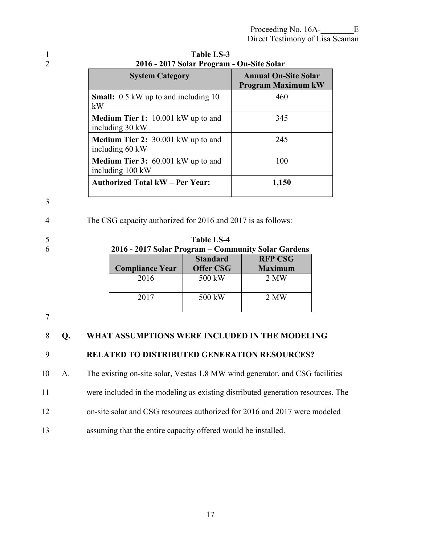| $2010 - 2011$ bond 110g am – On-bitt bond                     |                                                          |
|---------------------------------------------------------------|----------------------------------------------------------|
| <b>System Category</b>                                        | <b>Annual On-Site Solar</b><br><b>Program Maximum kW</b> |
| <b>Small:</b> 0.5 kW up to and including 10<br>kW             | 460                                                      |
| <b>Medium Tier 1:</b> 10.001 kW up to and<br>including 30 kW  | 345                                                      |
| <b>Medium Tier 2: 30.001 kW up to and</b><br>including 60 kW  | 245                                                      |
| <b>Medium Tier 3:</b> 60.001 kW up to and<br>including 100 kW | 100                                                      |
| <b>Authorized Total kW – Per Year:</b>                        | 1,150                                                    |

1 **Table LS-3**  2 **2016 - 2017 Solar Program - On-Site Solar** 

3

4 The CSG capacity authorized for 2016 and 2017 is as follows:

| 5 |                                                     | <b>Table LS-4</b> |                |
|---|-----------------------------------------------------|-------------------|----------------|
| 6 | 2016 - 2017 Solar Program – Community Solar Gardens |                   |                |
|   |                                                     | <b>Standard</b>   | <b>RFP CSG</b> |
|   | <b>Compliance Year</b>                              | <b>Offer CSG</b>  | <b>Maximum</b> |
|   | 2016                                                | 500 kW            | 2 MW           |
|   |                                                     |                   |                |
|   | 2017                                                | 500 kW            | 2 MW           |

7

#### 8 **Q. WHAT ASSUMPTIONS WERE INCLUDED IN THE MODELING**

### 9 **RELATED TO DISTRIBUTED GENERATION RESOURCES?**

10 A. The existing on-site solar, Vestas 1.8 MW wind generator, and CSG facilities

11 were included in the modeling as existing distributed generation resources. The

- 12 on-site solar and CSG resources authorized for 2016 and 2017 were modeled
- 13 assuming that the entire capacity offered would be installed.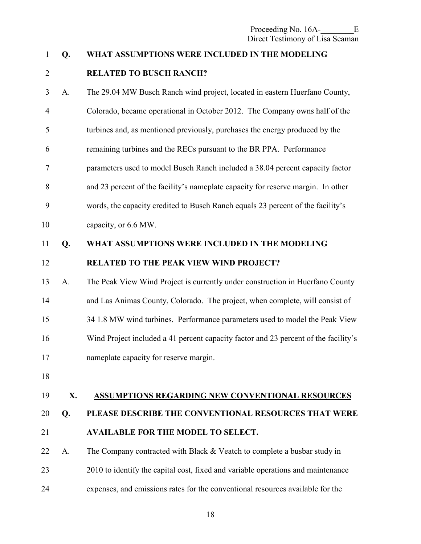#### <span id="page-19-0"></span>1 **Q. WHAT ASSUMPTIONS WERE INCLUDED IN THE MODELING**

#### 2 **RELATED TO BUSCH RANCH?**

3 A. The 29.04 MW Busch Ranch wind project, located in eastern Huerfano County, 4 Colorado, became operational in October 2012. The Company owns half of the 5 turbines and, as mentioned previously, purchases the energy produced by the 6 remaining turbines and the RECs pursuant to the BR PPA. Performance 7 parameters used to model Busch Ranch included a 38.04 percent capacity factor 8 and 23 percent of the facility's nameplate capacity for reserve margin. In other 9 words, the capacity credited to Busch Ranch equals 23 percent of the facility's 10 capacity, or 6.6 MW.

#### 11 **Q. WHAT ASSUMPTIONS WERE INCLUDED IN THE MODELING**

12 **RELATED TO THE PEAK VIEW WIND PROJECT?** 

- 13 A. The Peak View Wind Project is currently under construction in Huerfano County 14 and Las Animas County, Colorado. The project, when complete, will consist of 15 34 1.8 MW wind turbines. Performance parameters used to model the Peak View 16 Wind Project included a 41 percent capacity factor and 23 percent of the facility's 17 nameplate capacity for reserve margin.
- 18

#### 19 **X. ASSUMPTIONS REGARDING NEW CONVENTIONAL RESOURCES**

## 20 **Q. PLEASE DESCRIBE THE CONVENTIONAL RESOURCES THAT WERE**

- 21 **AVAILABLE FOR THE MODEL TO SELECT.**
- 22 A. The Company contracted with Black  $&$  Veatch to complete a busbar study in 23 2010 to identify the capital cost, fixed and variable operations and maintenance
- 24 expenses, and emissions rates for the conventional resources available for the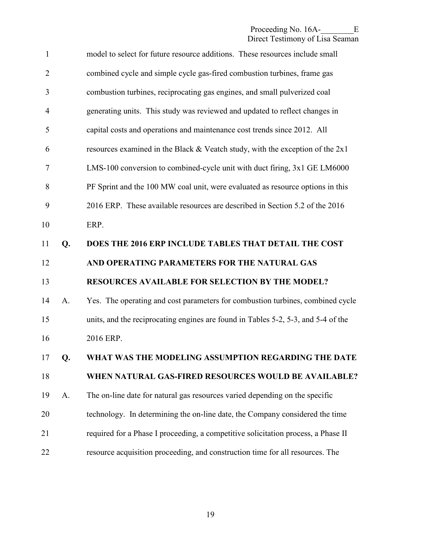| $\mathbf{1}$   |    | model to select for future resource additions. These resources include small      |
|----------------|----|-----------------------------------------------------------------------------------|
| $\overline{2}$ |    | combined cycle and simple cycle gas-fired combustion turbines, frame gas          |
| 3              |    | combustion turbines, reciprocating gas engines, and small pulverized coal         |
| $\overline{4}$ |    | generating units. This study was reviewed and updated to reflect changes in       |
| 5              |    | capital costs and operations and maintenance cost trends since 2012. All          |
| 6              |    | resources examined in the Black $&$ Veatch study, with the exception of the 2x1   |
| 7              |    | LMS-100 conversion to combined-cycle unit with duct firing, 3x1 GE LM6000         |
| 8              |    | PF Sprint and the 100 MW coal unit, were evaluated as resource options in this    |
| 9              |    | 2016 ERP. These available resources are described in Section 5.2 of the 2016      |
| 10             |    | ERP.                                                                              |
| 11             | Q. | DOES THE 2016 ERP INCLUDE TABLES THAT DETAIL THE COST                             |
| 12             |    | AND OPERATING PARAMETERS FOR THE NATURAL GAS                                      |
|                |    |                                                                                   |
| 13             |    | <b>RESOURCES AVAILABLE FOR SELECTION BY THE MODEL?</b>                            |
| 14             | A. | Yes. The operating and cost parameters for combustion turbines, combined cycle    |
| 15             |    | units, and the reciprocating engines are found in Tables 5-2, 5-3, and 5-4 of the |
| 16             |    | 2016 ERP.                                                                         |
| 17             | Q. | WHAT WAS THE MODELING ASSUMPTION REGARDING THE DATE                               |
| 18             |    | WHEN NATURAL GAS-FIRED RESOURCES WOULD BE AVAILABLE?                              |
| 19             | A. | The on-line date for natural gas resources varied depending on the specific       |
| 20             |    | technology. In determining the on-line date, the Company considered the time      |
| 21             |    | required for a Phase I proceeding, a competitive solicitation process, a Phase II |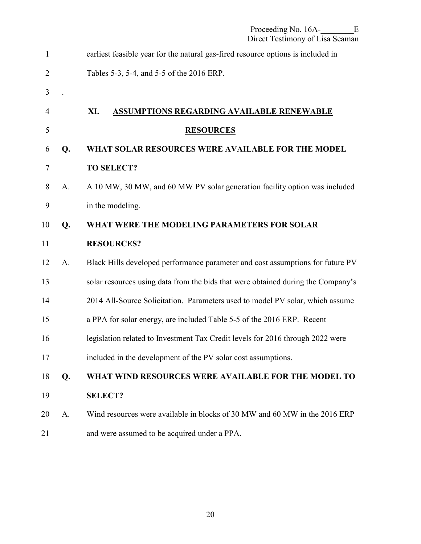<span id="page-21-0"></span>

| 1              |    | earliest feasible year for the natural gas-fired resource options is included in |
|----------------|----|----------------------------------------------------------------------------------|
| $\overline{2}$ |    | Tables 5-3, 5-4, and 5-5 of the 2016 ERP.                                        |
| 3              |    |                                                                                  |
| 4              |    | XI.<br><b>ASSUMPTIONS REGARDING AVAILABLE RENEWABLE</b>                          |
| 5              |    | <b>RESOURCES</b>                                                                 |
| 6              | Q. | WHAT SOLAR RESOURCES WERE AVAILABLE FOR THE MODEL                                |
| $\overline{7}$ |    | <b>TO SELECT?</b>                                                                |
| 8              | A. | A 10 MW, 30 MW, and 60 MW PV solar generation facility option was included       |
| 9              |    | in the modeling.                                                                 |
| 10             | Q. | WHAT WERE THE MODELING PARAMETERS FOR SOLAR                                      |
| 11             |    | <b>RESOURCES?</b>                                                                |
| 12             | A. | Black Hills developed performance parameter and cost assumptions for future PV   |
| 13             |    | solar resources using data from the bids that were obtained during the Company's |
| 14             |    | 2014 All-Source Solicitation. Parameters used to model PV solar, which assume    |
| 15             |    | a PPA for solar energy, are included Table 5-5 of the 2016 ERP. Recent           |
| 16             |    | legislation related to Investment Tax Credit levels for 2016 through 2022 were   |
| 17             |    | included in the development of the PV solar cost assumptions.                    |
| 18             | Q. | WHAT WIND RESOURCES WERE AVAILABLE FOR THE MODEL TO                              |
| 19             |    | <b>SELECT?</b>                                                                   |
| 20             | A. | Wind resources were available in blocks of 30 MW and 60 MW in the 2016 ERP       |
| 21             |    | and were assumed to be acquired under a PPA.                                     |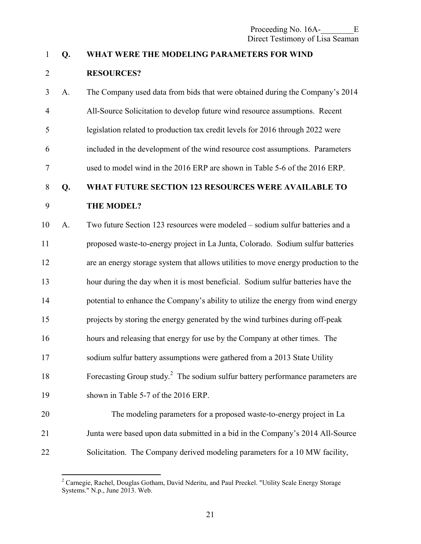#### 1 **Q. WHAT WERE THE MODELING PARAMETERS FOR WIND**

#### 2 **RESOURCES?**

3 A. The Company used data from bids that were obtained during the Company's 2014 4 All-Source Solicitation to develop future wind resource assumptions. Recent 5 legislation related to production tax credit levels for 2016 through 2022 were 6 included in the development of the wind resource cost assumptions. Parameters 7 used to model wind in the 2016 ERP are shown in Table 5-6 of the 2016 ERP. 8 **Q. WHAT FUTURE SECTION 123 RESOURCES WERE AVAILABLE TO**  9 **THE MODEL?**  10 A. Two future Section 123 resources were modeled – sodium sulfur batteries and a 11 proposed waste-to-energy project in La Junta, Colorado. Sodium sulfur batteries 12 are an energy storage system that allows utilities to move energy production to the 13 hour during the day when it is most beneficial. Sodium sulfur batteries have the 14 potential to enhance the Company's ability to utilize the energy from wind energy 15 projects by storing the energy generated by the wind turbines during off-peak 16 hours and releasing that energy for use by the Company at other times. The 17 sodium sulfur battery assumptions were gathered from a 2013 State Utility 18 Forecasting Group study.<sup>2</sup> The sodium sulfur battery performance parameters are 19 shown in Table 5-7 of the 2016 ERP. 20 The modeling parameters for a proposed waste-to-energy project in La

22 Solicitation. The Company derived modeling parameters for a 10 MW facility,

21 Junta were based upon data submitted in a bid in the Company's 2014 All-Source

<sup>&</sup>lt;sup>2</sup> Carnegie, Rachel, Douglas Gotham, David Nderitu, and Paul Preckel. "Utility Scale Energy Storage Systems." N.p., June 2013. Web.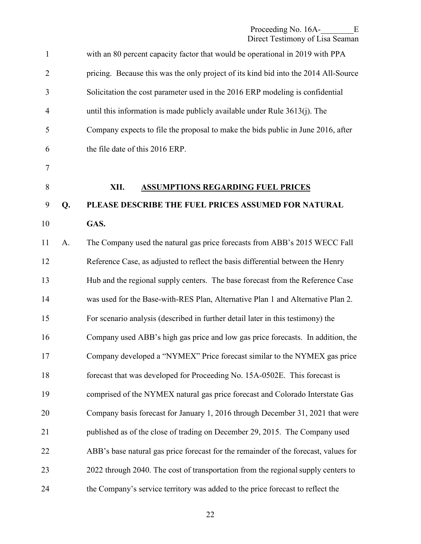<span id="page-23-0"></span>

| $\mathbf{1}$   |    | with an 80 percent capacity factor that would be operational in 2019 with PPA       |
|----------------|----|-------------------------------------------------------------------------------------|
| $\overline{2}$ |    | pricing. Because this was the only project of its kind bid into the 2014 All-Source |
| 3              |    | Solicitation the cost parameter used in the 2016 ERP modeling is confidential       |
| $\overline{4}$ |    | until this information is made publicly available under Rule $3613(j)$ . The        |
| 5              |    | Company expects to file the proposal to make the bids public in June 2016, after    |
| 6              |    | the file date of this 2016 ERP.                                                     |
| $\overline{7}$ |    |                                                                                     |
| $8\,$          |    | XII.<br><b>ASSUMPTIONS REGARDING FUEL PRICES</b>                                    |
| 9              | Q. | PLEASE DESCRIBE THE FUEL PRICES ASSUMED FOR NATURAL                                 |
| 10             |    | GAS.                                                                                |
| 11             | A. | The Company used the natural gas price forecasts from ABB's 2015 WECC Fall          |
| 12             |    | Reference Case, as adjusted to reflect the basis differential between the Henry     |
| 13             |    | Hub and the regional supply centers. The base forecast from the Reference Case      |
| 14             |    | was used for the Base-with-RES Plan, Alternative Plan 1 and Alternative Plan 2.     |
| 15             |    | For scenario analysis (described in further detail later in this testimony) the     |
| 16             |    | Company used ABB's high gas price and low gas price forecasts. In addition, the     |
| 17             |    | Company developed a "NYMEX" Price forecast similar to the NYMEX gas price           |
| 18             |    | forecast that was developed for Proceeding No. 15A-0502E. This forecast is          |
| 19             |    | comprised of the NYMEX natural gas price forecast and Colorado Interstate Gas       |
| 20             |    | Company basis forecast for January 1, 2016 through December 31, 2021 that were      |
| 21             |    | published as of the close of trading on December 29, 2015. The Company used         |
| 22             |    | ABB's base natural gas price forecast for the remainder of the forecast, values for |
| 23             |    | 2022 through 2040. The cost of transportation from the regional supply centers to   |
| 24             |    | the Company's service territory was added to the price forecast to reflect the      |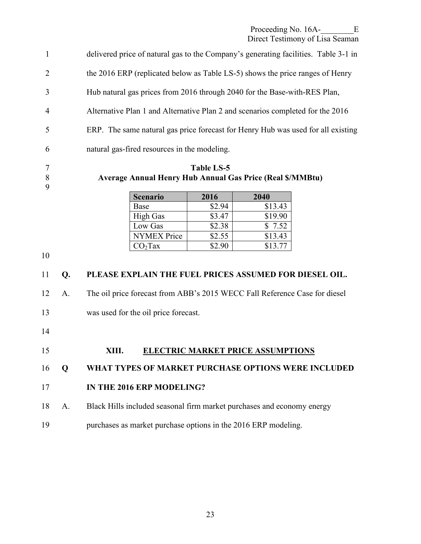Proceeding No. 16A-<br>E

Direct Testimony of Lisa Seaman

<span id="page-24-0"></span>1 delivered price of natural gas to the Company's generating facilities. Table 3-1 in 2 the 2016 ERP (replicated below as Table LS-5) shows the price ranges of Henry 3 Hub natural gas prices from 2016 through 2040 for the Base-with-RES Plan, 4 Alternative Plan 1 and Alternative Plan 2 and scenarios completed for the 2016 5 ERP. The same natural gas price forecast for Henry Hub was used for all existing 6 natural gas-fired resources in the modeling.

9

#### 7 **Table LS-5**  8 **Average Annual Henry Hub Annual Gas Price (Real \$/MMBtu)**

| <b>Scenario</b>     | 2016   | 2040    |
|---------------------|--------|---------|
| Base                | \$2.94 | \$13.43 |
| <b>High Gas</b>     | \$3.47 | \$19.90 |
| Low Gas             | \$2.38 | \$7.52  |
| <b>NYMEX Price</b>  | \$2.55 | \$13.43 |
| CO <sub>2</sub> Tax | \$2.90 | \$13.77 |

10

#### 11 **Q. PLEASE EXPLAIN THE FUEL PRICES ASSUMED FOR DIESEL OIL.**

12 A. The oil price forecast from ABB's 2015 WECC Fall Reference Case for diesel

- 13 was used for the oil price forecast.
- 14

#### 15 **XIII. ELECTRIC MARKET PRICE ASSUMPTIONS**

16 **Q WHAT TYPES OF MARKET PURCHASE OPTIONS WERE INCLUDED** 

#### 17 **IN THE 2016 ERP MODELING?**

- 18 A. Black Hills included seasonal firm market purchases and economy energy
- 19 purchases as market purchase options in the 2016 ERP modeling.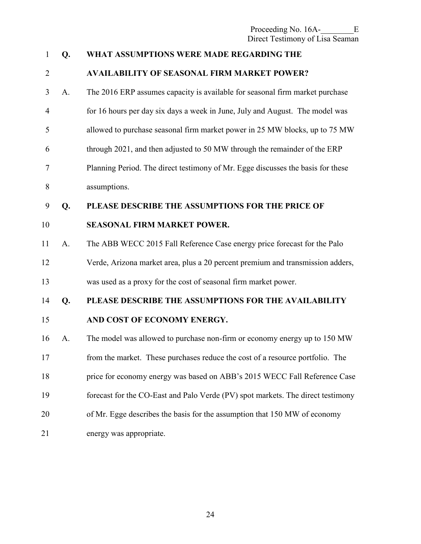| $\mathbf{1}$   | Q. | WHAT ASSUMPTIONS WERE MADE REGARDING THE                                        |
|----------------|----|---------------------------------------------------------------------------------|
| $\overline{2}$ |    | <b>AVAILABILITY OF SEASONAL FIRM MARKET POWER?</b>                              |
| 3              | A. | The 2016 ERP assumes capacity is available for seasonal firm market purchase    |
| $\overline{4}$ |    | for 16 hours per day six days a week in June, July and August. The model was    |
| 5              |    | allowed to purchase seasonal firm market power in 25 MW blocks, up to 75 MW     |
| 6              |    | through 2021, and then adjusted to 50 MW through the remainder of the ERP       |
| 7              |    | Planning Period. The direct testimony of Mr. Egge discusses the basis for these |
| 8              |    | assumptions.                                                                    |
| 9              | Q. | PLEASE DESCRIBE THE ASSUMPTIONS FOR THE PRICE OF                                |
| 10             |    | <b>SEASONAL FIRM MARKET POWER.</b>                                              |
| 11             | A. | The ABB WECC 2015 Fall Reference Case energy price forecast for the Palo        |
| 12             |    | Verde, Arizona market area, plus a 20 percent premium and transmission adders,  |
| 13             |    | was used as a proxy for the cost of seasonal firm market power.                 |
| 14             | Q. | PLEASE DESCRIBE THE ASSUMPTIONS FOR THE AVAILABILITY                            |
| 15             |    | AND COST OF ECONOMY ENERGY.                                                     |
| 16             | A. | The model was allowed to purchase non-firm or economy energy up to 150 MW       |
| 17             |    | from the market. These purchases reduce the cost of a resource portfolio. The   |
| 18             |    | price for economy energy was based on ABB's 2015 WECC Fall Reference Case       |
| 19             |    | forecast for the CO-East and Palo Verde (PV) spot markets. The direct testimony |
| 20             |    | of Mr. Egge describes the basis for the assumption that 150 MW of economy       |
| 21             |    | energy was appropriate.                                                         |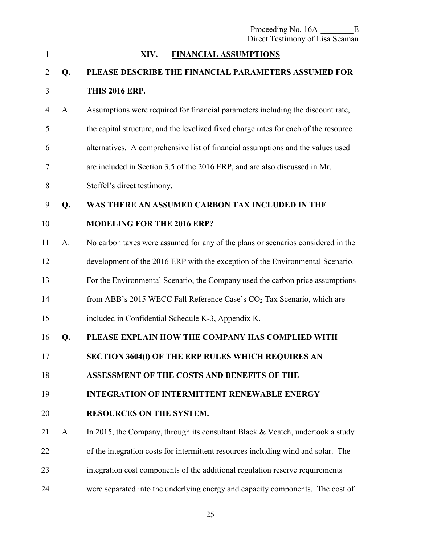<span id="page-26-0"></span>

| $\mathbf{1}$   |    | XIV.<br><b>FINANCIAL ASSUMPTIONS</b>                                                 |
|----------------|----|--------------------------------------------------------------------------------------|
| $\overline{2}$ | Q. | PLEASE DESCRIBE THE FINANCIAL PARAMETERS ASSUMED FOR                                 |
| 3              |    | <b>THIS 2016 ERP.</b>                                                                |
| 4              | A. | Assumptions were required for financial parameters including the discount rate,      |
| 5              |    | the capital structure, and the levelized fixed charge rates for each of the resource |
| 6              |    | alternatives. A comprehensive list of financial assumptions and the values used      |
| 7              |    | are included in Section 3.5 of the 2016 ERP, and are also discussed in Mr.           |
| 8              |    | Stoffel's direct testimony.                                                          |
| 9              | Q. | WAS THERE AN ASSUMED CARBON TAX INCLUDED IN THE                                      |
| 10             |    | <b>MODELING FOR THE 2016 ERP?</b>                                                    |
| 11             | A. | No carbon taxes were assumed for any of the plans or scenarios considered in the     |
| 12             |    | development of the 2016 ERP with the exception of the Environmental Scenario.        |
| 13             |    | For the Environmental Scenario, the Company used the carbon price assumptions        |
| 14             |    | from ABB's 2015 WECC Fall Reference Case's $CO2$ Tax Scenario, which are             |
| 15             |    | included in Confidential Schedule K-3, Appendix K.                                   |
| 16             | Q. | PLEASE EXPLAIN HOW THE COMPANY HAS COMPLIED WITH                                     |
| 17             |    | <b>SECTION 3604(I) OF THE ERP RULES WHICH REQUIRES AN</b>                            |
| 18             |    | ASSESSMENT OF THE COSTS AND BENEFITS OF THE                                          |
| 19             |    | <b>INTEGRATION OF INTERMITTENT RENEWABLE ENERGY</b>                                  |
| 20             |    | <b>RESOURCES ON THE SYSTEM.</b>                                                      |
| 21             | A. | In 2015, the Company, through its consultant Black $&$ Veatch, undertook a study     |
| 22             |    | of the integration costs for intermittent resources including wind and solar. The    |
| 23             |    | integration cost components of the additional regulation reserve requirements        |
| 24             |    | were separated into the underlying energy and capacity components. The cost of       |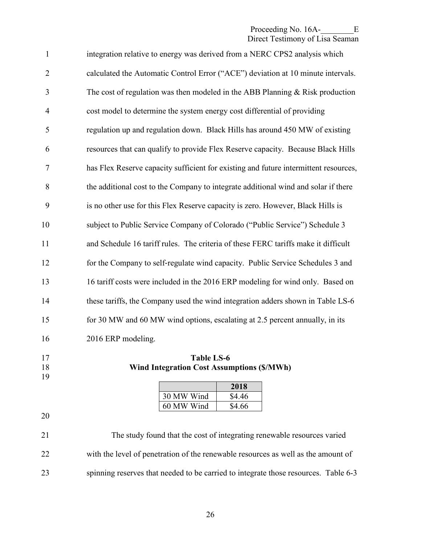#### Proceeding No. 16A-<br>E Direct Testimony of Lisa Seaman

| $\mathbf{1}$   | integration relative to energy was derived from a NERC CPS2 analysis which           |
|----------------|--------------------------------------------------------------------------------------|
| $\overline{2}$ | calculated the Automatic Control Error ("ACE") deviation at 10 minute intervals.     |
| 3              | The cost of regulation was then modeled in the ABB Planning $&$ Risk production      |
| $\overline{4}$ | cost model to determine the system energy cost differential of providing             |
| 5              | regulation up and regulation down. Black Hills has around 450 MW of existing         |
| 6              | resources that can qualify to provide Flex Reserve capacity. Because Black Hills     |
| $\tau$         | has Flex Reserve capacity sufficient for existing and future intermittent resources, |
| 8              | the additional cost to the Company to integrate additional wind and solar if there   |
| 9              | is no other use for this Flex Reserve capacity is zero. However, Black Hills is      |
| 10             | subject to Public Service Company of Colorado ("Public Service") Schedule 3          |
| 11             | and Schedule 16 tariff rules. The criteria of these FERC tariffs make it difficult   |
| 12             | for the Company to self-regulate wind capacity. Public Service Schedules 3 and       |
| 13             | 16 tariff costs were included in the 2016 ERP modeling for wind only. Based on       |
| 14             | these tariffs, the Company used the wind integration adders shown in Table LS-6      |
| 15             | for 30 MW and 60 MW wind options, escalating at 2.5 percent annually, in its         |
| 16             | 2016 ERP modeling.                                                                   |
|                |                                                                                      |

19

17 **Table LS-6**<br>18 **Wind Integration Cost Assun** 18 **Wind Integration Cost Assumptions (\$/MWh)**

|            | 2018   |
|------------|--------|
| 30 MW Wind | \$4.46 |
| 60 MW Wind | \$4.66 |

20

21 The study found that the cost of integrating renewable resources varied 22 with the level of penetration of the renewable resources as well as the amount of 23 spinning reserves that needed to be carried to integrate those resources. Table 6-3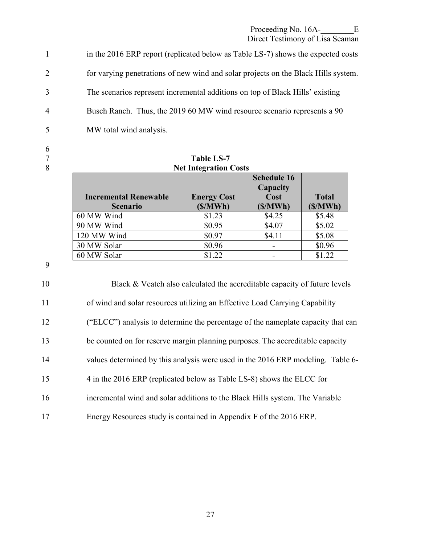Proceeding No. 16A-<br>E

Direct Testimony of Lisa Seaman

1 in the 2016 ERP report (replicated below as Table LS-7) shows the expected costs 2 for varying penetrations of new wind and solar projects on the Black Hills system. 3 The scenarios represent incremental additions on top of Black Hills' existing 4 Busch Ranch. Thus, the 2019 60 MW wind resource scenario represents a 90 5 MW total wind analysis.

6

| $\overline{7}$ |                              | <b>Table LS-7</b>  |                                        |              |  |
|----------------|------------------------------|--------------------|----------------------------------------|--------------|--|
| 8              | <b>Net Integration Costs</b> |                    |                                        |              |  |
|                | <b>Incremental Renewable</b> | <b>Energy Cost</b> | <b>Schedule 16</b><br>Capacity<br>Cost | <b>Total</b> |  |
|                | <b>Scenario</b>              | (S/MWh)            | (S/MWh)                                | (S/MWh)      |  |
|                | 60 MW Wind                   | \$1.23             | \$4.25                                 | \$5.48       |  |
|                | 90 MW Wind                   | \$0.95             | \$4.07                                 | \$5.02       |  |
|                | 120 MW Wind                  | \$0.97             | \$4.11                                 | \$5.08       |  |
|                | 30 MW Solar                  | \$0.96             |                                        | \$0.96       |  |
|                | 60 MW Solar                  | \$1.22             |                                        | \$1.22       |  |

9

10 Black & Veatch also calculated the accreditable capacity of future levels 11 of wind and solar resources utilizing an Effective Load Carrying Capability 12 ("ELCC") analysis to determine the percentage of the nameplate capacity that can 13 be counted on for reserve margin planning purposes. The accreditable capacity 14 values determined by this analysis were used in the 2016 ERP modeling. Table 6- 15 4 in the 2016 ERP (replicated below as Table LS-8) shows the ELCC for 16 incremental wind and solar additions to the Black Hills system. The Variable 17 Energy Resources study is contained in Appendix F of the 2016 ERP.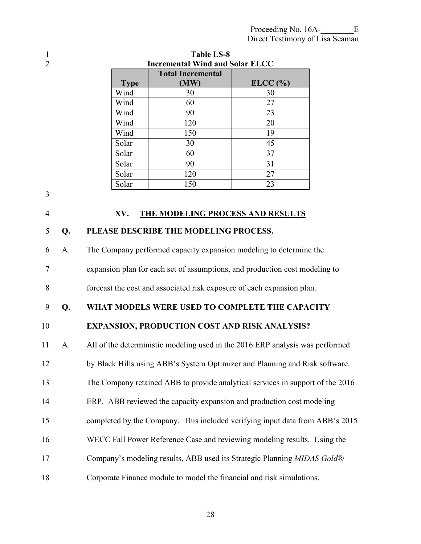<span id="page-29-0"></span>

| I           |
|-------------|
| ŕ<br>I<br>٦ |

3

| <b>Incremental Wind and Solar ELCC</b> |
|----------------------------------------|
|                                        |
| ELCC (%)                               |
| 30                                     |
| 27                                     |
| 23                                     |
| 20                                     |
| 19                                     |
| 45                                     |
| 37                                     |
| 31                                     |
| 27                                     |
| 23                                     |
|                                        |
|                                        |
| THE MODELING PROCESS AND RESULTS       |
| PLEASE DESCRIBE THE MODELING PROCESS.  |
|                                        |

1 **Table LS-8** 

6 A. The Company performed capacity expansion modeling to determine the 7 expansion plan for each set of assumptions, and production cost modeling to 8 forecast the cost and associated risk exposure of each expansion plan.

#### 9 **Q. WHAT MODELS WERE USED TO COMPLETE THE CAPACITY**

10 **EXPANSION, PRODUCTION COST AND RISK ANALYSIS?** 

11 A. All of the deterministic modeling used in the 2016 ERP analysis was performed

12 by Black Hills using ABB's System Optimizer and Planning and Risk software.

13 The Company retained ABB to provide analytical services in support of the 2016

14 ERP. ABB reviewed the capacity expansion and production cost modeling

15 completed by the Company. This included verifying input data from ABB's 2015

- 16 WECC Fall Power Reference Case and reviewing modeling results. Using the
- 17 Company's modeling results, ABB used its Strategic Planning *MIDAS Gold*®
- 18 Corporate Finance module to model the financial and risk simulations.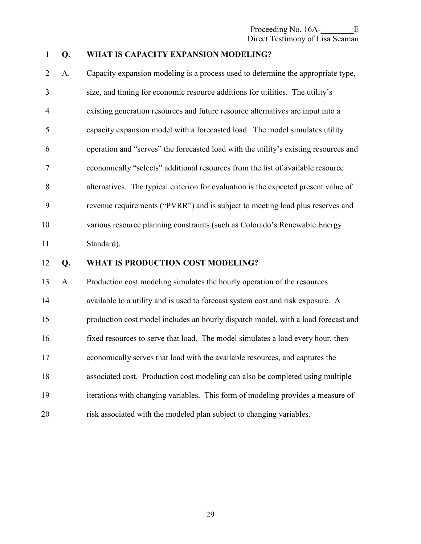Proceeding No. 16A-<br>E Direct Testimony of Lisa Seaman

#### 1 **Q. WHAT IS CAPACITY EXPANSION MODELING?**

2 A. Capacity expansion modeling is a process used to determine the appropriate type, 3 size, and timing for economic resource additions for utilities. The utility's 4 existing generation resources and future resource alternatives are input into a 5 capacity expansion model with a forecasted load. The model simulates utility 6 operation and "serves" the forecasted load with the utility's existing resources and 7 economically "selects" additional resources from the list of available resource 8 alternatives. The typical criterion for evaluation is the expected present value of 9 revenue requirements ("PVRR") and is subject to meeting load plus reserves and 10 various resource planning constraints (such as Colorado's Renewable Energy 11 Standard).

#### 12 **Q. WHAT IS PRODUCTION COST MODELING?**

13 A. Production cost modeling simulates the hourly operation of the resources 14 available to a utility and is used to forecast system cost and risk exposure. A 15 production cost model includes an hourly dispatch model, with a load forecast and 16 fixed resources to serve that load. The model simulates a load every hour, then 17 economically serves that load with the available resources, and captures the 18 associated cost. Production cost modeling can also be completed using multiple 19 iterations with changing variables. This form of modeling provides a measure of 20 risk associated with the modeled plan subject to changing variables.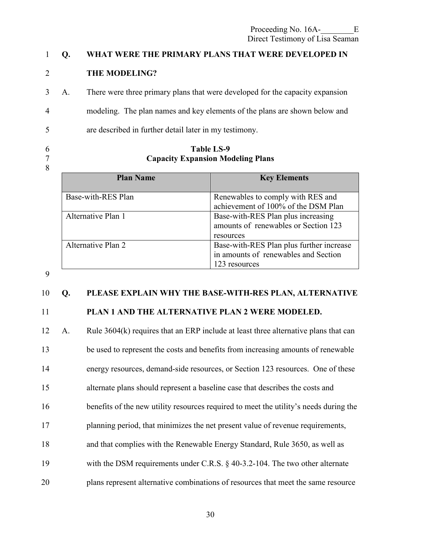#### 1 **Q. WHAT WERE THE PRIMARY PLANS THAT WERE DEVELOPED IN**

#### 2 **THE MODELING?**

3 A. There were three primary plans that were developed for the capacity expansion

4 modeling. The plan names and key elements of the plans are shown below and

5 are described in further detail later in my testimony.

8

#### 6 **Table LS-9**  7 **Capacity Expansion Modeling Plans**

| <b>Plan Name</b>   | <b>Key Elements</b>                                                                               |
|--------------------|---------------------------------------------------------------------------------------------------|
| Base-with-RES Plan | Renewables to comply with RES and<br>achievement of 100% of the DSM Plan                          |
| Alternative Plan 1 | Base-with-RES Plan plus increasing<br>amounts of renewables or Section 123<br>resources           |
| Alternative Plan 2 | Base-with-RES Plan plus further increase<br>in amounts of renewables and Section<br>123 resources |

#### 9

#### 10 **Q. PLEASE EXPLAIN WHY THE BASE-WITH-RES PLAN, ALTERNATIVE**

#### 11 **PLAN 1 AND THE ALTERNATIVE PLAN 2 WERE MODELED.**

12 A. Rule 3604(k) requires that an ERP include at least three alternative plans that can 13 be used to represent the costs and benefits from increasing amounts of renewable 14 energy resources, demand-side resources, or Section 123 resources. One of these 15 alternate plans should represent a baseline case that describes the costs and 16 benefits of the new utility resources required to meet the utility's needs during the 17 planning period, that minimizes the net present value of revenue requirements, 18 and that complies with the Renewable Energy Standard, Rule 3650, as well as 19 with the DSM requirements under C.R.S. § 40-3.2-104. The two other alternate

20 plans represent alternative combinations of resources that meet the same resource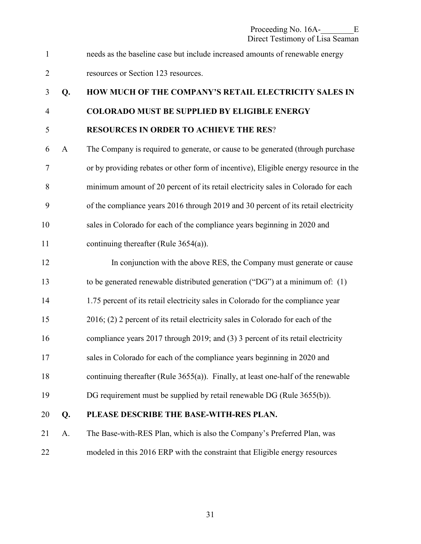1 needs as the baseline case but include increased amounts of renewable energy

2 resources or Section 123 resources.

## 3 **Q. HOW MUCH OF THE COMPANY'S RETAIL ELECTRICITY SALES IN**  4 **COLORADO MUST BE SUPPLIED BY ELIGIBLE ENERGY**  5 **RESOURCES IN ORDER TO ACHIEVE THE RES**?

6 A The Company is required to generate, or cause to be generated (through purchase 7 or by providing rebates or other form of incentive), Eligible energy resource in the 8 minimum amount of 20 percent of its retail electricity sales in Colorado for each 9 of the compliance years 2016 through 2019 and 30 percent of its retail electricity 10 sales in Colorado for each of the compliance years beginning in 2020 and 11 continuing thereafter (Rule 3654(a)).

- 12 In conjunction with the above RES, the Company must generate or cause 13 to be generated renewable distributed generation ("DG") at a minimum of: (1) 14 1.75 percent of its retail electricity sales in Colorado for the compliance year 15 2016; (2) 2 percent of its retail electricity sales in Colorado for each of the 16 compliance years 2017 through 2019; and (3) 3 percent of its retail electricity 17 sales in Colorado for each of the compliance years beginning in 2020 and 18 continuing thereafter (Rule 3655(a)). Finally, at least one-half of the renewable 19 DG requirement must be supplied by retail renewable DG (Rule 3655(b)).
- 20 **Q. PLEASE DESCRIBE THE BASE-WITH-RES PLAN.**

21 A. The Base-with-RES Plan, which is also the Company's Preferred Plan, was 22 modeled in this 2016 ERP with the constraint that Eligible energy resources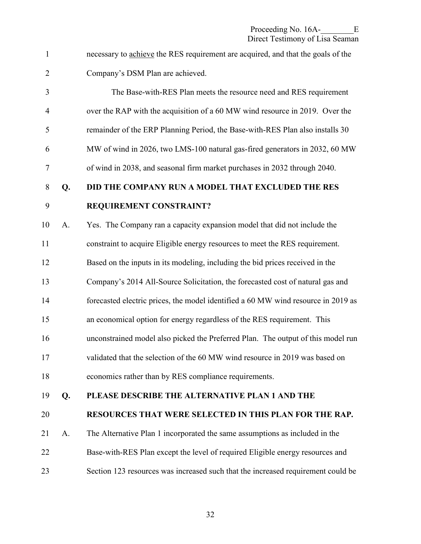1 necessary to achieve the RES requirement are acquired, and that the goals of the 2 Company's DSM Plan are achieved.

3 The Base-with-RES Plan meets the resource need and RES requirement 4 over the RAP with the acquisition of a 60 MW wind resource in 2019. Over the 5 remainder of the ERP Planning Period, the Base-with-RES Plan also installs 30 6 MW of wind in 2026, two LMS-100 natural gas-fired generators in 2032, 60 MW 7 of wind in 2038, and seasonal firm market purchases in 2032 through 2040. 8 **Q. DID THE COMPANY RUN A MODEL THAT EXCLUDED THE RES**  9 **REQUIREMENT CONSTRAINT?**  10 A. Yes. The Company ran a capacity expansion model that did not include the 11 constraint to acquire Eligible energy resources to meet the RES requirement. 12 Based on the inputs in its modeling, including the bid prices received in the 13 Company's 2014 All-Source Solicitation, the forecasted cost of natural gas and 14 forecasted electric prices, the model identified a 60 MW wind resource in 2019 as 15 an economical option for energy regardless of the RES requirement. This 16 unconstrained model also picked the Preferred Plan. The output of this model run 17 validated that the selection of the 60 MW wind resource in 2019 was based on 18 economics rather than by RES compliance requirements. 19 **Q. PLEASE DESCRIBE THE ALTERNATIVE PLAN 1 AND THE**  20 **RESOURCES THAT WERE SELECTED IN THIS PLAN FOR THE RAP.** 21 A. The Alternative Plan 1 incorporated the same assumptions as included in the

22 Base-with-RES Plan except the level of required Eligible energy resources and 23 Section 123 resources was increased such that the increased requirement could be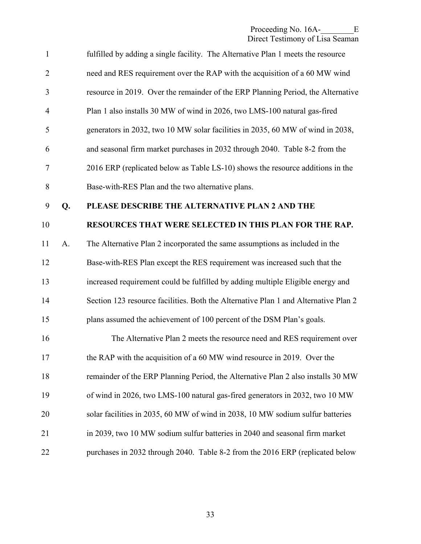| $\mathbf{1}$   |    | fulfilled by adding a single facility. The Alternative Plan 1 meets the resource    |
|----------------|----|-------------------------------------------------------------------------------------|
| $\overline{2}$ |    | need and RES requirement over the RAP with the acquisition of a 60 MW wind          |
| 3              |    | resource in 2019. Over the remainder of the ERP Planning Period, the Alternative    |
| $\overline{4}$ |    | Plan 1 also installs 30 MW of wind in 2026, two LMS-100 natural gas-fired           |
| 5              |    | generators in 2032, two 10 MW solar facilities in 2035, 60 MW of wind in 2038,      |
| 6              |    | and seasonal firm market purchases in 2032 through 2040. Table 8-2 from the         |
| 7              |    | 2016 ERP (replicated below as Table LS-10) shows the resource additions in the      |
| 8              |    | Base-with-RES Plan and the two alternative plans.                                   |
| 9              | Q. | PLEASE DESCRIBE THE ALTERNATIVE PLAN 2 AND THE                                      |
| 10             |    | RESOURCES THAT WERE SELECTED IN THIS PLAN FOR THE RAP.                              |
| 11             | A. | The Alternative Plan 2 incorporated the same assumptions as included in the         |
| 12             |    | Base-with-RES Plan except the RES requirement was increased such that the           |
| 13             |    | increased requirement could be fulfilled by adding multiple Eligible energy and     |
| 14             |    | Section 123 resource facilities. Both the Alternative Plan 1 and Alternative Plan 2 |
| 15             |    | plans assumed the achievement of 100 percent of the DSM Plan's goals.               |
| 16             |    | The Alternative Plan 2 meets the resource need and RES requirement over             |
| 17             |    | the RAP with the acquisition of a 60 MW wind resource in 2019. Over the             |
| 18             |    | remainder of the ERP Planning Period, the Alternative Plan 2 also installs 30 MW    |
| 19             |    | of wind in 2026, two LMS-100 natural gas-fired generators in 2032, two 10 MW        |
| 20             |    | solar facilities in 2035, 60 MW of wind in 2038, 10 MW sodium sulfur batteries      |
| 21             |    | in 2039, two 10 MW sodium sulfur batteries in 2040 and seasonal firm market         |
| 22             |    | purchases in 2032 through 2040. Table 8-2 from the 2016 ERP (replicated below       |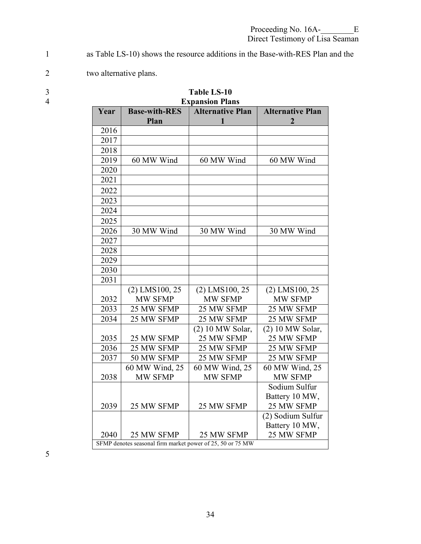1 as Table LS-10) shows the resource additions in the Base-with-RES Plan and the

- 2 two alternative plans.
- 
- 

| 4 |      | <b>Expansion Plans</b>                                     |                              |                              |  |  |
|---|------|------------------------------------------------------------|------------------------------|------------------------------|--|--|
|   | Year | <b>Base-with-RES</b><br>Plan                               | <b>Alternative Plan</b><br>1 | <b>Alternative Plan</b><br>2 |  |  |
|   | 2016 |                                                            |                              |                              |  |  |
|   | 2017 |                                                            |                              |                              |  |  |
|   | 2018 |                                                            |                              |                              |  |  |
|   | 2019 | 60 MW Wind                                                 | 60 MW Wind                   | 60 MW Wind                   |  |  |
|   | 2020 |                                                            |                              |                              |  |  |
|   | 2021 |                                                            |                              |                              |  |  |
|   | 2022 |                                                            |                              |                              |  |  |
|   | 2023 |                                                            |                              |                              |  |  |
|   | 2024 |                                                            |                              |                              |  |  |
|   | 2025 |                                                            |                              |                              |  |  |
|   | 2026 | 30 MW Wind                                                 | 30 MW Wind                   | 30 MW Wind                   |  |  |
|   | 2027 |                                                            |                              |                              |  |  |
|   | 2028 |                                                            |                              |                              |  |  |
|   | 2029 |                                                            |                              |                              |  |  |
|   | 2030 |                                                            |                              |                              |  |  |
|   | 2031 |                                                            |                              |                              |  |  |
|   |      | $(2)$ LMS100, 25                                           | $(2)$ LMS100, 25             | $(2)$ LMS100, 25             |  |  |
|   | 2032 | MW SFMP                                                    | MW SFMP                      | MW SFMP                      |  |  |
|   | 2033 | 25 MW SFMP                                                 | 25 MW SFMP                   | 25 MW SFMP                   |  |  |
|   | 2034 | 25 MW SFMP                                                 | 25 MW SFMP                   | 25 MW SFMP                   |  |  |
|   |      |                                                            | (2) 10 MW Solar,             | (2) 10 MW Solar,             |  |  |
|   | 2035 | 25 MW SFMP                                                 | 25 MW SFMP                   | 25 MW SFMP                   |  |  |
|   | 2036 | 25 MW SFMP                                                 | 25 MW SFMP                   | 25 MW SFMP                   |  |  |
|   | 2037 | 50 MW SFMP                                                 | 25 MW SFMP                   | 25 MW SFMP                   |  |  |
|   |      | 60 MW Wind, 25                                             | 60 MW Wind, 25               | 60 MW Wind, 25               |  |  |
|   | 2038 | MW SFMP                                                    | MW SFMP                      | MW SFMP                      |  |  |
|   |      |                                                            |                              | Sodium Sulfur                |  |  |
|   |      |                                                            |                              | Battery 10 MW,               |  |  |
|   | 2039 | 25 MW SFMP                                                 | 25 MW SFMP                   | 25 MW SFMP                   |  |  |
|   |      |                                                            |                              | (2) Sodium Sulfur            |  |  |
|   |      |                                                            |                              | Battery 10 MW,               |  |  |
|   | 2040 | 25 MW SFMP                                                 | 25 MW SFMP                   | 25 MW SFMP                   |  |  |
|   |      | SFMP denotes seasonal firm market power of 25, 50 or 75 MW |                              |                              |  |  |

| ◡ |  | <b>Table LS-10</b> |  |
|---|--|--------------------|--|
|   |  |                    |  |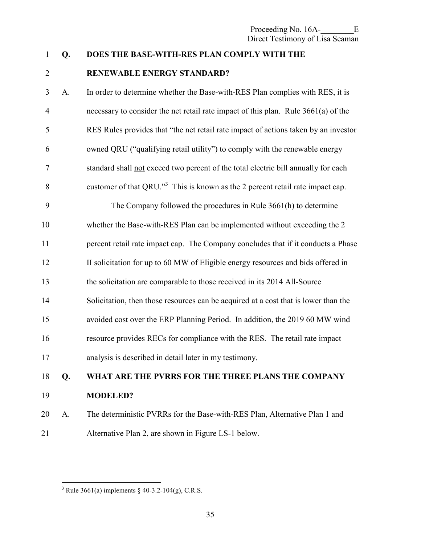## 1 **Q. DOES THE BASE-WITH-RES PLAN COMPLY WITH THE**

#### 2 **RENEWABLE ENERGY STANDARD?**

3 A. In order to determine whether the Base-with-RES Plan complies with RES, it is 4 necessary to consider the net retail rate impact of this plan. Rule 3661(a) of the 5 RES Rules provides that "the net retail rate impact of actions taken by an investor 6 owned QRU ("qualifying retail utility") to comply with the renewable energy 7 standard shall not exceed two percent of the total electric bill annually for each 8 customer of that  $QRU$ .<sup>3</sup> This is known as the 2 percent retail rate impact cap.

9 The Company followed the procedures in Rule 3661(h) to determine 10 whether the Base-with-RES Plan can be implemented without exceeding the 2 11 percent retail rate impact cap. The Company concludes that if it conducts a Phase 12 II solicitation for up to 60 MW of Eligible energy resources and bids offered in 13 the solicitation are comparable to those received in its 2014 All-Source 14 Solicitation, then those resources can be acquired at a cost that is lower than the 15 avoided cost over the ERP Planning Period. In addition, the 2019 60 MW wind 16 resource provides RECs for compliance with the RES. The retail rate impact 17 analysis is described in detail later in my testimony.

## 18 **Q. WHAT ARE THE PVRRS FOR THE THREE PLANS THE COMPANY**  19 **MODELED?**

20 A. The deterministic PVRRs for the Base-with-RES Plan, Alternative Plan 1 and 21 Alternative Plan 2, are shown in Figure LS-1 below.

 $\overline{a}$ <sup>3</sup> Rule 3661(a) implements  $\S$  40-3.2-104(g), C.R.S.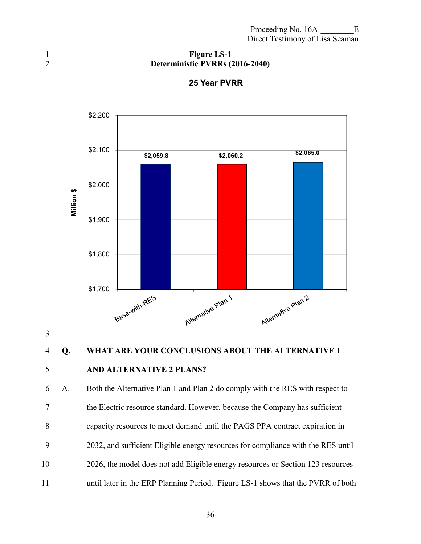#### 1 **Figure LS-1**<br>2 **Deterministic PVRRs** ( 2 **Deterministic PVRRs (2016-2040)**



#### **25 Year PVRR**

3

## 4 **Q. WHAT ARE YOUR CONCLUSIONS ABOUT THE ALTERNATIVE 1**

### 5 **AND ALTERNATIVE 2 PLANS?**

6 A. Both the Alternative Plan 1 and Plan 2 do comply with the RES with respect to 7 the Electric resource standard. However, because the Company has sufficient 8 capacity resources to meet demand until the PAGS PPA contract expiration in 9 2032, and sufficient Eligible energy resources for compliance with the RES until 10 2026, the model does not add Eligible energy resources or Section 123 resources 11 until later in the ERP Planning Period. Figure LS-1 shows that the PVRR of both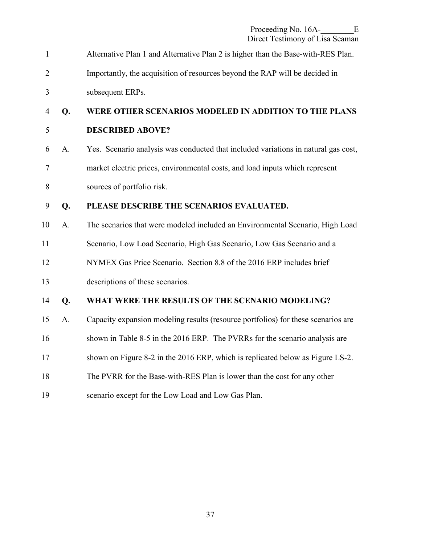| $\mathbf{1}$   |    | Alternative Plan 1 and Alternative Plan 2 is higher than the Base-with-RES Plan.   |
|----------------|----|------------------------------------------------------------------------------------|
| $\overline{2}$ |    | Importantly, the acquisition of resources beyond the RAP will be decided in        |
| 3              |    | subsequent ERPs.                                                                   |
| 4              | Q. | WERE OTHER SCENARIOS MODELED IN ADDITION TO THE PLANS                              |
| 5              |    | <b>DESCRIBED ABOVE?</b>                                                            |
| 6              | A. | Yes. Scenario analysis was conducted that included variations in natural gas cost, |
| 7              |    | market electric prices, environmental costs, and load inputs which represent       |
| $8\,$          |    | sources of portfolio risk.                                                         |
| 9              | Q. | PLEASE DESCRIBE THE SCENARIOS EVALUATED.                                           |
| 10             | A. | The scenarios that were modeled included an Environmental Scenario, High Load      |
| 11             |    | Scenario, Low Load Scenario, High Gas Scenario, Low Gas Scenario and a             |
| 12             |    | NYMEX Gas Price Scenario. Section 8.8 of the 2016 ERP includes brief               |
| 13             |    | descriptions of these scenarios.                                                   |
| 14             | Q. | WHAT WERE THE RESULTS OF THE SCENARIO MODELING?                                    |
| 15             | A. | Capacity expansion modeling results (resource portfolios) for these scenarios are  |
| 16             |    | shown in Table 8-5 in the 2016 ERP. The PVRRs for the scenario analysis are        |
| 17             |    | shown on Figure 8-2 in the 2016 ERP, which is replicated below as Figure LS-2.     |
| 18             |    | The PVRR for the Base-with-RES Plan is lower than the cost for any other           |
| 19             |    | scenario except for the Low Load and Low Gas Plan.                                 |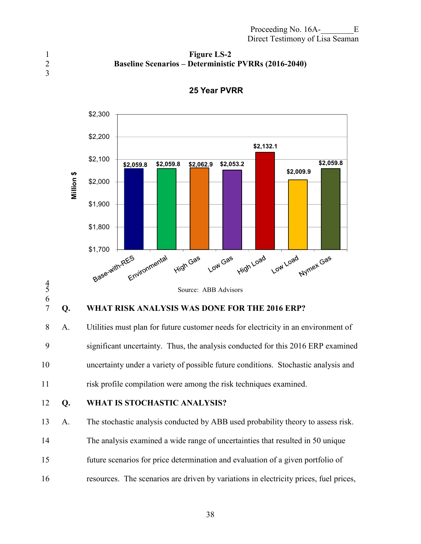#### 1 **Figure LS-2**  2 **Baseline Scenarios – Deterministic PVRRs (2016-2040)**

3



#### **25 Year PVRR**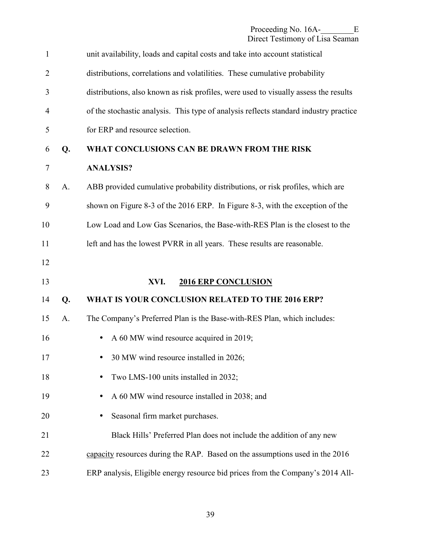<span id="page-40-0"></span>

| $\mathbf{1}$   |    | unit availability, loads and capital costs and take into account statistical          |
|----------------|----|---------------------------------------------------------------------------------------|
| $\overline{2}$ |    | distributions, correlations and volatilities. These cumulative probability            |
| 3              |    | distributions, also known as risk profiles, were used to visually assess the results  |
| 4              |    | of the stochastic analysis. This type of analysis reflects standard industry practice |
| 5              |    | for ERP and resource selection.                                                       |
| 6              | Q. | WHAT CONCLUSIONS CAN BE DRAWN FROM THE RISK                                           |
| $\overline{7}$ |    | <b>ANALYSIS?</b>                                                                      |
| 8              | A. | ABB provided cumulative probability distributions, or risk profiles, which are        |
| 9              |    | shown on Figure 8-3 of the 2016 ERP. In Figure 8-3, with the exception of the         |
| 10             |    | Low Load and Low Gas Scenarios, the Base-with-RES Plan is the closest to the          |
| 11             |    | left and has the lowest PVRR in all years. These results are reasonable.              |
| 12             |    |                                                                                       |
| 13             |    | XVI.<br><b>2016 ERP CONCLUSION</b>                                                    |
| 14             | Q. | WHAT IS YOUR CONCLUSION RELATED TO THE 2016 ERP?                                      |
| 15             | A. | The Company's Preferred Plan is the Base-with-RES Plan, which includes:               |
| 16             |    | A 60 MW wind resource acquired in 2019;                                               |
| 17             |    | 30 MW wind resource installed in 2026;                                                |
| 18             |    | Two LMS-100 units installed in 2032;                                                  |
| 19             |    | A 60 MW wind resource installed in 2038; and                                          |
| 20             |    | Seasonal firm market purchases.                                                       |
| 21             |    | Black Hills' Preferred Plan does not include the addition of any new                  |
| 22             |    | capacity resources during the RAP. Based on the assumptions used in the 2016          |
| 23             |    | ERP analysis, Eligible energy resource bid prices from the Company's 2014 All-        |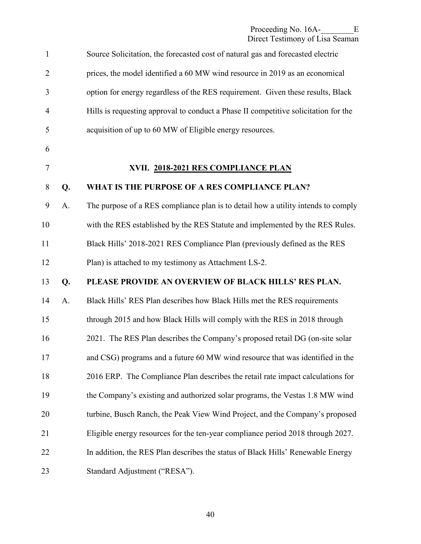| $\mathbf{1}$   |    | Source Solicitation, the forecasted cost of natural gas and forecasted electric     |
|----------------|----|-------------------------------------------------------------------------------------|
| $\overline{2}$ |    | prices, the model identified a 60 MW wind resource in 2019 as an economical         |
| 3              |    | option for energy regardless of the RES requirement. Given these results, Black     |
| $\overline{4}$ |    | Hills is requesting approval to conduct a Phase II competitive solicitation for the |
| 5              |    | acquisition of up to 60 MW of Eligible energy resources.                            |
| 6              |    |                                                                                     |
| 7              |    | XVII. 2018-2021 RES COMPLIANCE PLAN                                                 |
| $8\,$          | Q. | WHAT IS THE PURPOSE OF A RES COMPLIANCE PLAN?                                       |
| 9              | A. | The purpose of a RES compliance plan is to detail how a utility intends to comply   |
| 10             |    | with the RES established by the RES Statute and implemented by the RES Rules.       |
| 11             |    | Black Hills' 2018-2021 RES Compliance Plan (previously defined as the RES           |
| 12             |    | Plan) is attached to my testimony as Attachment LS-2.                               |
| 13             | Q. | PLEASE PROVIDE AN OVERVIEW OF BLACK HILLS' RES PLAN.                                |
| 14             | A. | Black Hills' RES Plan describes how Black Hills met the RES requirements            |
| 15             |    | through 2015 and how Black Hills will comply with the RES in 2018 through           |
| 16             |    | 2021. The RES Plan describes the Company's proposed retail DG (on-site solar        |
| 17             |    | and CSG) programs and a future 60 MW wind resource that was identified in the       |
| 18             |    | 2016 ERP. The Compliance Plan describes the retail rate impact calculations for     |
| 19             |    | the Company's existing and authorized solar programs, the Vestas 1.8 MW wind        |
| 20             |    | turbine, Busch Ranch, the Peak View Wind Project, and the Company's proposed        |
| 21             |    | Eligible energy resources for the ten-year compliance period 2018 through 2027.     |
| 22             |    | In addition, the RES Plan describes the status of Black Hills' Renewable Energy     |
| 23             |    | Standard Adjustment ("RESA").                                                       |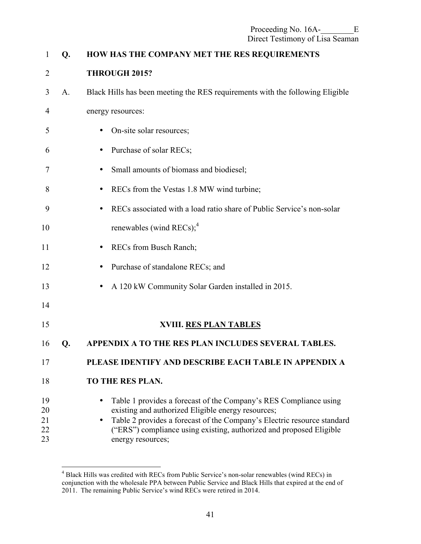| $\mathbf{1}$               | Q. | HOW HAS THE COMPANY MET THE RES REQUIREMENTS                                                                                                                                                                                                                                                   |
|----------------------------|----|------------------------------------------------------------------------------------------------------------------------------------------------------------------------------------------------------------------------------------------------------------------------------------------------|
| $\overline{2}$             |    | THROUGH 2015?                                                                                                                                                                                                                                                                                  |
| 3                          | A. | Black Hills has been meeting the RES requirements with the following Eligible                                                                                                                                                                                                                  |
| 4                          |    | energy resources:                                                                                                                                                                                                                                                                              |
| 5                          |    | On-site solar resources;                                                                                                                                                                                                                                                                       |
| 6                          |    | Purchase of solar RECs;                                                                                                                                                                                                                                                                        |
| 7                          |    | Small amounts of biomass and biodiesel;                                                                                                                                                                                                                                                        |
| 8                          |    | RECs from the Vestas 1.8 MW wind turbine;                                                                                                                                                                                                                                                      |
| 9                          |    | RECs associated with a load ratio share of Public Service's non-solar                                                                                                                                                                                                                          |
| 10                         |    | renewables (wind RECs); $4$                                                                                                                                                                                                                                                                    |
| 11                         |    | RECs from Busch Ranch;                                                                                                                                                                                                                                                                         |
| 12                         |    | Purchase of standalone RECs; and                                                                                                                                                                                                                                                               |
| 13                         |    | A 120 kW Community Solar Garden installed in 2015.                                                                                                                                                                                                                                             |
| 14                         |    |                                                                                                                                                                                                                                                                                                |
| 15                         |    | XVIII. RES PLAN TABLES                                                                                                                                                                                                                                                                         |
| 16                         | Q. | APPENDIX A TO THE RES PLAN INCLUDES SEVERAL TABLES.                                                                                                                                                                                                                                            |
| 17                         |    | PLEASE IDENTIFY AND DESCRIBE EACH TABLE IN APPENDIX A                                                                                                                                                                                                                                          |
| 18                         |    | TO THE RES PLAN.                                                                                                                                                                                                                                                                               |
| 19<br>20<br>21<br>22<br>23 |    | Table 1 provides a forecast of the Company's RES Compliance using<br>existing and authorized Eligible energy resources;<br>Table 2 provides a forecast of the Company's Electric resource standard<br>("ERS") compliance using existing, authorized and proposed Eligible<br>energy resources; |

 4 Black Hills was credited with RECs from Public Service's non-solar renewables (wind RECs) in conjunction with the wholesale PPA between Public Service and Black Hills that expired at the end of 2011. The remaining Public Service's wind RECs were retired in 2014.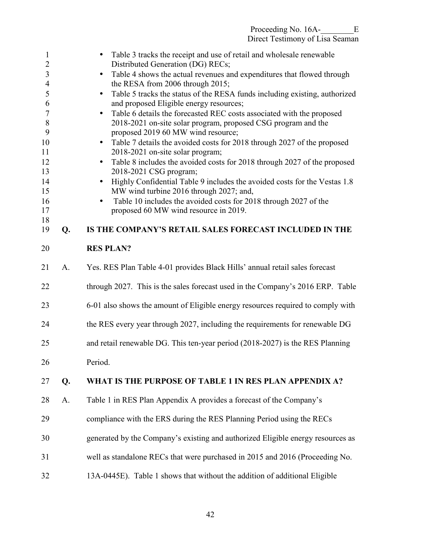Proceeding No. 16A-<br>E Direct Testimony of Lisa Seaman

1 • Table 3 tracks the receipt and use of retail and wholesale renewable 2 Distributed Generation (DG) RECs; 3 • Table 4 shows the actual revenues and expenditures that flowed through 4 the RESA from 2006 through 2015; 5 • Table 5 tracks the status of the RESA funds including existing, authorized 6 and proposed Eligible energy resources; 7 • Table 6 details the forecasted REC costs associated with the proposed 8 2018-2021 on-site solar program, proposed CSG program and the 9 proposed 2019 60 MW wind resource; 10 • Table 7 details the avoided costs for 2018 through 2027 of the proposed 11 2018-2021 on-site solar program; 12 • Table 8 includes the avoided costs for 2018 through 2027 of the proposed 13 2018-2021 CSG program; 14 • Highly Confidential Table 9 includes the avoided costs for the Vestas 1.8 15 MW wind turbine 2016 through 2027; and, 16 • Table 10 includes the avoided costs for 2018 through 2027 of the 17 proposed 60 MW wind resource in 2019. 18 19 **Q. IS THE COMPANY'S RETAIL SALES FORECAST INCLUDED IN THE**  20 **RES PLAN?**  21 A. Yes. RES Plan Table 4-01 provides Black Hills' annual retail sales forecast 22 through 2027. This is the sales forecast used in the Company's 2016 ERP. Table 23 6-01 also shows the amount of Eligible energy resources required to comply with 24 the RES every year through 2027, including the requirements for renewable DG 25 and retail renewable DG. This ten-year period (2018-2027) is the RES Planning 26 Period. 27 **Q. WHAT IS THE PURPOSE OF TABLE 1 IN RES PLAN APPENDIX A?** 28 A. Table 1 in RES Plan Appendix A provides a forecast of the Company's 29 compliance with the ERS during the RES Planning Period using the RECs 30 generated by the Company's existing and authorized Eligible energy resources as 31 well as standalone RECs that were purchased in 2015 and 2016 (Proceeding No. 32 13A-0445E). Table 1 shows that without the addition of additional Eligible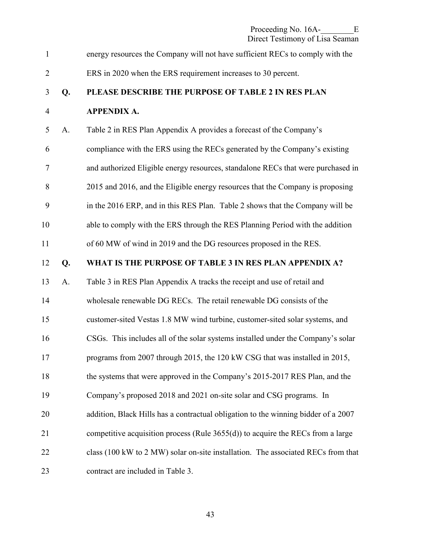| $\mathbf{1}$   |    | energy resources the Company will not have sufficient RECs to comply with the      |
|----------------|----|------------------------------------------------------------------------------------|
| $\overline{2}$ |    | ERS in 2020 when the ERS requirement increases to 30 percent.                      |
| 3              | Q. | PLEASE DESCRIBE THE PURPOSE OF TABLE 2 IN RES PLAN                                 |
| $\overline{4}$ |    | <b>APPENDIX A.</b>                                                                 |
| 5              | A. | Table 2 in RES Plan Appendix A provides a forecast of the Company's                |
| 6              |    | compliance with the ERS using the RECs generated by the Company's existing         |
| 7              |    | and authorized Eligible energy resources, standalone RECs that were purchased in   |
| 8              |    | 2015 and 2016, and the Eligible energy resources that the Company is proposing     |
| 9              |    | in the 2016 ERP, and in this RES Plan. Table 2 shows that the Company will be      |
| 10             |    | able to comply with the ERS through the RES Planning Period with the addition      |
| 11             |    | of 60 MW of wind in 2019 and the DG resources proposed in the RES.                 |
| 12             | Q. | WHAT IS THE PURPOSE OF TABLE 3 IN RES PLAN APPENDIX A?                             |
| 13             | A. | Table 3 in RES Plan Appendix A tracks the receipt and use of retail and            |
| 14             |    | wholesale renewable DG RECs. The retail renewable DG consists of the               |
| 15             |    | customer-sited Vestas 1.8 MW wind turbine, customer-sited solar systems, and       |
| 16             |    | CSGs. This includes all of the solar systems installed under the Company's solar   |
| 17             |    | programs from 2007 through 2015, the 120 kW CSG that was installed in 2015,        |
| 18             |    | the systems that were approved in the Company's 2015-2017 RES Plan, and the        |
| 19             |    | Company's proposed 2018 and 2021 on-site solar and CSG programs. In                |
| 20             |    | addition, Black Hills has a contractual obligation to the winning bidder of a 2007 |
| 21             |    | competitive acquisition process (Rule $3655(d)$ ) to acquire the RECs from a large |
| 22             |    | class (100 kW to 2 MW) solar on-site installation. The associated RECs from that   |
| 23             |    | contract are included in Table 3.                                                  |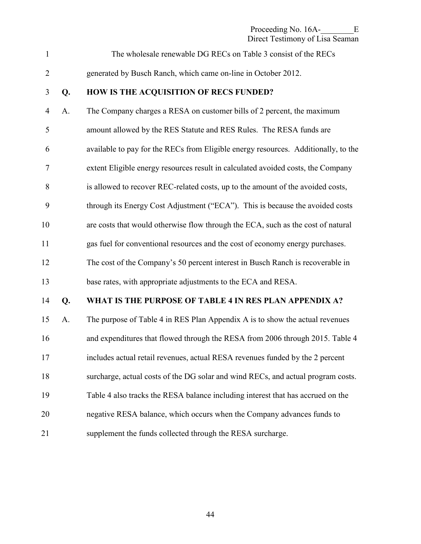Proceeding No. 16A-<br>E Direct Testimony of Lisa Seaman

1 The wholesale renewable DG RECs on Table 3 consist of the RECs

2 generated by Busch Ranch, which came on-line in October 2012.

#### 3 **Q. HOW IS THE ACQUISITION OF RECS FUNDED?**

4 A. The Company charges a RESA on customer bills of 2 percent, the maximum 5 amount allowed by the RES Statute and RES Rules. The RESA funds are 6 available to pay for the RECs from Eligible energy resources. Additionally, to the 7 extent Eligible energy resources result in calculated avoided costs, the Company 8 is allowed to recover REC-related costs, up to the amount of the avoided costs, 9 through its Energy Cost Adjustment ("ECA"). This is because the avoided costs 10 are costs that would otherwise flow through the ECA, such as the cost of natural 11 gas fuel for conventional resources and the cost of economy energy purchases. 12 The cost of the Company's 50 percent interest in Busch Ranch is recoverable in 13 base rates, with appropriate adjustments to the ECA and RESA.

#### 14 **Q. WHAT IS THE PURPOSE OF TABLE 4 IN RES PLAN APPENDIX A?**

15 A. The purpose of Table 4 in RES Plan Appendix A is to show the actual revenues 16 and expenditures that flowed through the RESA from 2006 through 2015. Table 4 17 includes actual retail revenues, actual RESA revenues funded by the 2 percent 18 surcharge, actual costs of the DG solar and wind RECs, and actual program costs. 19 Table 4 also tracks the RESA balance including interest that has accrued on the 20 negative RESA balance, which occurs when the Company advances funds to 21 supplement the funds collected through the RESA surcharge.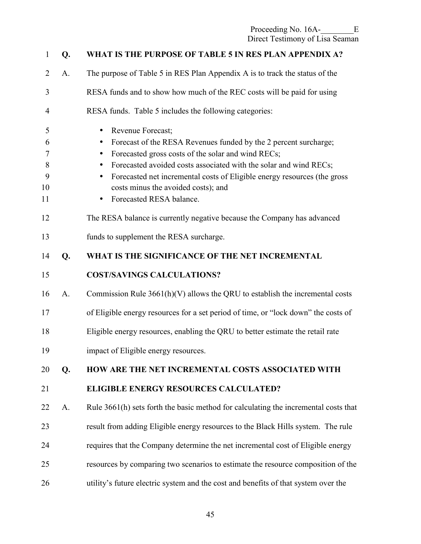| $\mathbf{1}$                           | Q. | WHAT IS THE PURPOSE OF TABLE 5 IN RES PLAN APPENDIX A?                                                                                                                                                                                                                                                                                                                                                              |
|----------------------------------------|----|---------------------------------------------------------------------------------------------------------------------------------------------------------------------------------------------------------------------------------------------------------------------------------------------------------------------------------------------------------------------------------------------------------------------|
| $\overline{2}$                         | A. | The purpose of Table 5 in RES Plan Appendix A is to track the status of the                                                                                                                                                                                                                                                                                                                                         |
| 3                                      |    | RESA funds and to show how much of the REC costs will be paid for using                                                                                                                                                                                                                                                                                                                                             |
| $\overline{4}$                         |    | RESA funds. Table 5 includes the following categories:                                                                                                                                                                                                                                                                                                                                                              |
| 5<br>6<br>$\tau$<br>8<br>9<br>10<br>11 |    | Revenue Forecast;<br>$\bullet$<br>Forecast of the RESA Revenues funded by the 2 percent surcharge;<br>$\bullet$<br>Forecasted gross costs of the solar and wind RECs;<br>$\bullet$<br>Forecasted avoided costs associated with the solar and wind RECs;<br>Forecasted net incremental costs of Eligible energy resources (the gross<br>costs minus the avoided costs); and<br>Forecasted RESA balance.<br>$\bullet$ |
| 12                                     |    | The RESA balance is currently negative because the Company has advanced                                                                                                                                                                                                                                                                                                                                             |
| 13                                     |    | funds to supplement the RESA surcharge.                                                                                                                                                                                                                                                                                                                                                                             |
| 14                                     | Q. | WHAT IS THE SIGNIFICANCE OF THE NET INCREMENTAL                                                                                                                                                                                                                                                                                                                                                                     |
| 15                                     |    | <b>COST/SAVINGS CALCULATIONS?</b>                                                                                                                                                                                                                                                                                                                                                                                   |
| 16                                     | A. | Commission Rule $3661(h)(V)$ allows the QRU to establish the incremental costs                                                                                                                                                                                                                                                                                                                                      |
| 17                                     |    | of Eligible energy resources for a set period of time, or "lock down" the costs of                                                                                                                                                                                                                                                                                                                                  |
| 18                                     |    | Eligible energy resources, enabling the QRU to better estimate the retail rate                                                                                                                                                                                                                                                                                                                                      |
| 19                                     |    | impact of Eligible energy resources.                                                                                                                                                                                                                                                                                                                                                                                |
| 20                                     | Q. | HOW ARE THE NET INCREMENTAL COSTS ASSOCIATED WITH                                                                                                                                                                                                                                                                                                                                                                   |
| 21                                     |    | <b>ELIGIBLE ENERGY RESOURCES CALCULATED?</b>                                                                                                                                                                                                                                                                                                                                                                        |
| 22                                     | A. | Rule 3661(h) sets forth the basic method for calculating the incremental costs that                                                                                                                                                                                                                                                                                                                                 |
| 23                                     |    | result from adding Eligible energy resources to the Black Hills system. The rule                                                                                                                                                                                                                                                                                                                                    |
| 24                                     |    | requires that the Company determine the net incremental cost of Eligible energy                                                                                                                                                                                                                                                                                                                                     |
| 25                                     |    | resources by comparing two scenarios to estimate the resource composition of the                                                                                                                                                                                                                                                                                                                                    |
| 26                                     |    | utility's future electric system and the cost and benefits of that system over the                                                                                                                                                                                                                                                                                                                                  |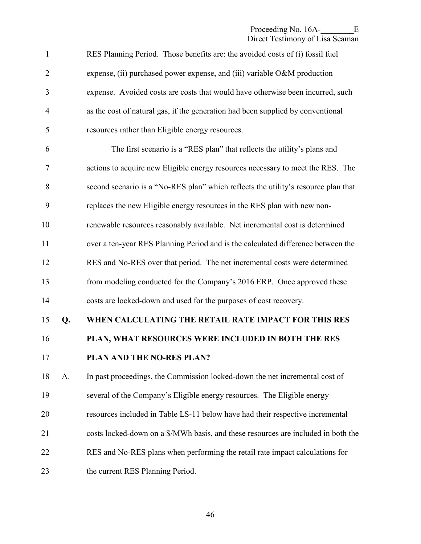| $\mathbf{1}$   |    | RES Planning Period. Those benefits are: the avoided costs of (i) fossil fuel      |
|----------------|----|------------------------------------------------------------------------------------|
| $\overline{2}$ |    | expense, (ii) purchased power expense, and (iii) variable O&M production           |
| 3              |    | expense. Avoided costs are costs that would have otherwise been incurred, such     |
| $\overline{4}$ |    | as the cost of natural gas, if the generation had been supplied by conventional    |
| 5              |    | resources rather than Eligible energy resources.                                   |
| 6              |    | The first scenario is a "RES plan" that reflects the utility's plans and           |
| 7              |    | actions to acquire new Eligible energy resources necessary to meet the RES. The    |
| 8              |    | second scenario is a "No-RES plan" which reflects the utility's resource plan that |
| 9              |    | replaces the new Eligible energy resources in the RES plan with new non-           |
| 10             |    | renewable resources reasonably available. Net incremental cost is determined       |
| 11             |    | over a ten-year RES Planning Period and is the calculated difference between the   |
| 12             |    | RES and No-RES over that period. The net incremental costs were determined         |
| 13             |    | from modeling conducted for the Company's 2016 ERP. Once approved these            |
| 14             |    | costs are locked-down and used for the purposes of cost recovery.                  |
| 15             | Q. | WHEN CALCULATING THE RETAIL RATE IMPACT FOR THIS RES                               |
| 16             |    | PLAN, WHAT RESOURCES WERE INCLUDED IN BOTH THE RES                                 |
| 17             |    | PLAN AND THE NO-RES PLAN?                                                          |
| 18             | A. | In past proceedings, the Commission locked-down the net incremental cost of        |
| 19             |    | several of the Company's Eligible energy resources. The Eligible energy            |
| 20             |    | resources included in Table LS-11 below have had their respective incremental      |
| 21             |    | costs locked-down on a \$/MWh basis, and these resources are included in both the  |
| 22             |    | RES and No-RES plans when performing the retail rate impact calculations for       |
| 23             |    | the current RES Planning Period.                                                   |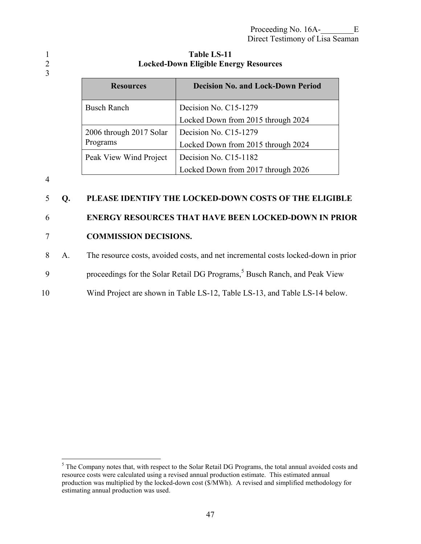#### 1 **Table LS-11**  2 **Locked-Down Eligible Energy Resources**

| <b>Resources</b>        | <b>Decision No. and Lock-Down Period</b> |
|-------------------------|------------------------------------------|
| <b>Busch Ranch</b>      | Decision No. C15-1279                    |
|                         | Locked Down from 2015 through 2024       |
| 2006 through 2017 Solar | Decision No. C15-1279                    |
| Programs                | Locked Down from 2015 through 2024       |
| Peak View Wind Project  | Decision No. C15-1182                    |
|                         | Locked Down from 2017 through 2026       |

4

3

#### 5 **Q. PLEASE IDENTIFY THE LOCKED-DOWN COSTS OF THE ELIGIBLE**

### 6 **ENERGY RESOURCES THAT HAVE BEEN LOCKED-DOWN IN PRIOR**

#### 7 **COMMISSION DECISIONS.**

8 A. The resource costs, avoided costs, and net incremental costs locked-down in prior

- 9 proceedings for the Solar Retail DG Programs,<sup>5</sup> Busch Ranch, and Peak View
- 10 Wind Project are shown in Table LS-12, Table LS-13, and Table LS-14 below.

<sup>&</sup>lt;sup>5</sup> The Company notes that, with respect to the Solar Retail DG Programs, the total annual avoided costs and resource costs were calculated using a revised annual production estimate. This estimated annual production was multiplied by the locked-down cost (\$/MWh). A revised and simplified methodology for estimating annual production was used.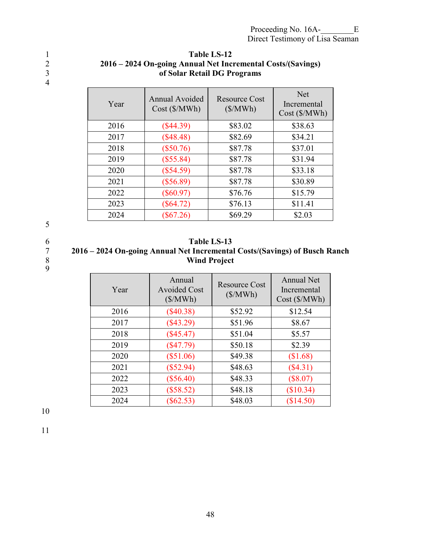4

#### 1<br>2016 - 2024 On-going Annual Net Inc 2 **2016 – 2024 On-going Annual Net Incremental Costs/(Savings)**  3 **of Solar Retail DG Programs**

| Year | <b>Annual Avoided</b><br>Cost (\$/MWh) | Resource Cost<br>$(\frac{\sqrt{3}}{MVh})$ | <b>Net</b><br>Incremental<br>Cost(S/MWh) |
|------|----------------------------------------|-------------------------------------------|------------------------------------------|
| 2016 | $(\$44.39)$                            | \$83.02                                   | \$38.63                                  |
| 2017 | (\$48.48)                              | \$82.69                                   | \$34.21                                  |
| 2018 | $(\$50.76)$                            | \$87.78                                   | \$37.01                                  |
| 2019 | $(\$55.84)$                            | \$87.78                                   | \$31.94                                  |
| 2020 | $(\$54.59)$                            | \$87.78                                   | \$33.18                                  |
| 2021 | $(\$56.89)$                            | \$87.78                                   | \$30.89                                  |
| 2022 | $(\$60.97)$                            | \$76.76                                   | \$15.79                                  |
| 2023 | $(\$64.72)$                            | \$76.13                                   | \$11.41                                  |
| 2024 | $(\$67.26)$                            | \$69.29                                   | \$2.03                                   |

5

 $\begin{array}{c} 7 \\ 8 \\ 9 \end{array}$ 

### 6 **Table LS-13**

#### 7 **2016 – 2024 On-going Annual Net Incremental Costs/(Savings) of Busch Ranch**  8 **Wind Project**

| Year | Annual<br><b>Avoided Cost</b><br>$(\frac{S}{W}$ | <b>Resource Cost</b><br>$(\frac{\sqrt{3}}{MVh})$ | <b>Annual Net</b><br>Incremental<br>Cost (\$/MWh) |
|------|-------------------------------------------------|--------------------------------------------------|---------------------------------------------------|
| 2016 | $(\$40.38)$                                     | \$52.92                                          | \$12.54                                           |
| 2017 | $(\$43.29)$                                     | \$51.96                                          | \$8.67                                            |
| 2018 | $(\$45.47)$                                     | \$51.04                                          | \$5.57                                            |
| 2019 | $(\$47.79)$                                     | \$50.18                                          | \$2.39                                            |
| 2020 | $(\$51.06)$                                     | \$49.38                                          | \$1.68                                            |
| 2021 | $(\$52.94)$                                     | \$48.63                                          | $(\$4.31)$                                        |
| 2022 | $(\$56.40)$                                     | \$48.33                                          | $(\$8.07)$                                        |
| 2023 | (\$58.52)                                       | \$48.18                                          | (\$10.34)                                         |
| 2024 | $(\$62.53)$                                     | \$48.03                                          | (\$14.50)                                         |

10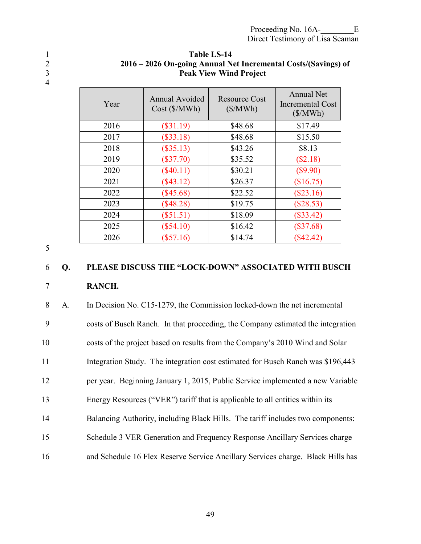4

| Year | <b>Annual Avoided</b><br>Cost(S/MWh) | <b>Resource Cost</b><br>$(\frac{\sqrt{3}}{MVh})$ | Annual Net<br><b>Incremental Cost</b><br>$(\frac{S}{MWh})$ |
|------|--------------------------------------|--------------------------------------------------|------------------------------------------------------------|
| 2016 | $(\$31.19)$                          | \$48.68                                          | \$17.49                                                    |
| 2017 | $(\$33.18)$                          | \$48.68                                          | \$15.50                                                    |
| 2018 | $(\$35.13)$                          | \$43.26                                          | \$8.13                                                     |
| 2019 | $(\$37.70)$                          | \$35.52                                          | (\$2.18)                                                   |
| 2020 | $(\$40.11)$                          | \$30.21                                          | (\$9.90)                                                   |
| 2021 | $(\$43.12)$                          | \$26.37                                          | \$16.75)                                                   |
| 2022 | $(\$45.68)$                          | \$22.52                                          | $(\$23.16)$                                                |
| 2023 | $(\$48.28)$                          | \$19.75                                          | $(\$28.53)$                                                |
| 2024 | $(\$51.51)$                          | \$18.09                                          | $(\$33.42)$                                                |
| 2025 | $(\$54.10)$                          | \$16.42                                          | $(\$37.68)$                                                |
| 2026 | $(\$57.16)$                          | \$14.74                                          | $(\$42.42)$                                                |

#### 1 **Table LS-14**  2 **2016 – 2026 On-going Annual Net Incremental Costs/(Savings) of**  3 **Peak View Wind Project**

5

# 6 **Q. PLEASE DISCUSS THE "LOCK-DOWN" ASSOCIATED WITH BUSCH**

#### 7 **RANCH.**

8 A. In Decision No. C15-1279, the Commission locked-down the net incremental 9 costs of Busch Ranch. In that proceeding, the Company estimated the integration 10 costs of the project based on results from the Company's 2010 Wind and Solar 11 Integration Study. The integration cost estimated for Busch Ranch was \$196,443 12 per year. Beginning January 1, 2015, Public Service implemented a new Variable 13 Energy Resources ("VER") tariff that is applicable to all entities within its 14 Balancing Authority, including Black Hills. The tariff includes two components: 15 Schedule 3 VER Generation and Frequency Response Ancillary Services charge 16 and Schedule 16 Flex Reserve Service Ancillary Services charge. Black Hills has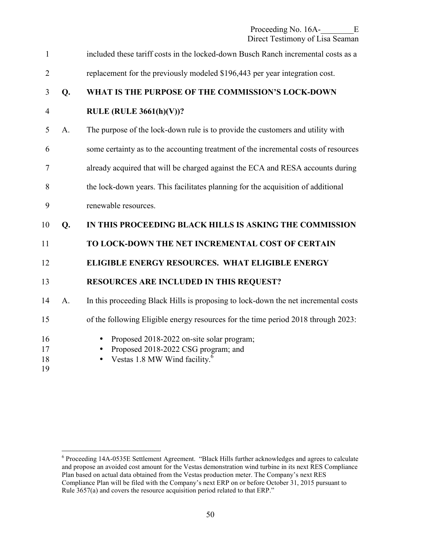Proceeding No. 16A-<br>E Direct Testimony of Lisa Seaman

1 included these tariff costs in the locked-down Busch Ranch incremental costs as a 2 replacement for the previously modeled \$196,443 per year integration cost. 3 **Q. WHAT IS THE PURPOSE OF THE COMMISSION'S LOCK-DOWN**  4 **RULE (RULE 3661(h)(V))?**  5 A. The purpose of the lock-down rule is to provide the customers and utility with 6 some certainty as to the accounting treatment of the incremental costs of resources 7 already acquired that will be charged against the ECA and RESA accounts during 8 the lock-down years. This facilitates planning for the acquisition of additional 9 renewable resources. 10 **Q. IN THIS PROCEEDING BLACK HILLS IS ASKING THE COMMISSION**  11 **TO LOCK-DOWN THE NET INCREMENTAL COST OF CERTAIN**  12 **ELIGIBLE ENERGY RESOURCES. WHAT ELIGIBLE ENERGY**  13 **RESOURCES ARE INCLUDED IN THIS REQUEST?**  14 A. In this proceeding Black Hills is proposing to lock-down the net incremental costs 15 of the following Eligible energy resources for the time period 2018 through 2023: 16 • Proposed 2018-2022 on-site solar program; 17 • Proposed 2018-2022 CSG program; and • Vestas 1.8 MW Wind facility. $6\overline{ }$ 18 19

 6 Proceeding 14A-0535E Settlement Agreement. "Black Hills further acknowledges and agrees to calculate and propose an avoided cost amount for the Vestas demonstration wind turbine in its next RES Compliance Plan based on actual data obtained from the Vestas production meter. The Company's next RES Compliance Plan will be filed with the Company's next ERP on or before October 31, 2015 pursuant to Rule 3657(a) and covers the resource acquisition period related to that ERP."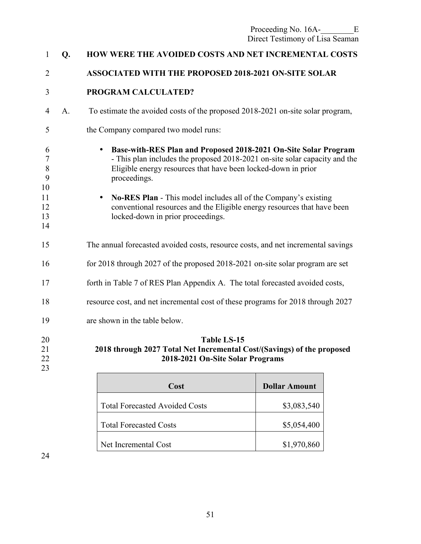| 1                      | Q <sub>r</sub> | <b>HOW WERE THE AVOIDED COSTS AND NET INCREMENTAL COSTS</b>                                                                                                                                                                                 |
|------------------------|----------------|---------------------------------------------------------------------------------------------------------------------------------------------------------------------------------------------------------------------------------------------|
| $\overline{2}$         |                | <b>ASSOCIATED WITH THE PROPOSED 2018-2021 ON-SITE SOLAR</b>                                                                                                                                                                                 |
| 3                      |                | PROGRAM CALCULATED?                                                                                                                                                                                                                         |
| $\overline{4}$         | A <sub>1</sub> | To estimate the avoided costs of the proposed 2018-2021 on-site solar program,                                                                                                                                                              |
| 5                      |                | the Company compared two model runs:                                                                                                                                                                                                        |
| 6<br>7<br>8<br>9<br>10 |                | Base-with-RES Plan and Proposed 2018-2021 On-Site Solar Program<br>$\bullet$<br>- This plan includes the proposed 2018-2021 on-site solar capacity and the<br>Eligible energy resources that have been locked-down in prior<br>proceedings. |
| 11<br>12<br>13<br>14   |                | No-RES Plan - This model includes all of the Company's existing<br>conventional resources and the Eligible energy resources that have been<br>locked-down in prior proceedings.                                                             |
| 15                     |                | The annual forecasted avoided costs, resource costs, and net incremental savings                                                                                                                                                            |
| 16                     |                | for 2018 through 2027 of the proposed 2018-2021 on-site solar program are set                                                                                                                                                               |
| 17                     |                | forth in Table 7 of RES Plan Appendix A. The total forecasted avoided costs,                                                                                                                                                                |
| 18                     |                | resource cost, and net incremental cost of these programs for 2018 through 2027                                                                                                                                                             |
| 19                     |                | are shown in the table below.                                                                                                                                                                                                               |
| 20<br>21<br>22<br>23   |                | <b>Table LS-15</b><br>2018 through 2027 Total Net Incremental Cost/(Savings) of the proposed<br>2018-2021 On-Site Solar Programs                                                                                                            |

| Cost                                  | <b>Dollar Amount</b> |
|---------------------------------------|----------------------|
| <b>Total Forecasted Avoided Costs</b> | \$3,083,540          |
| <b>Total Forecasted Costs</b>         | \$5,054,400          |
| Net Incremental Cost                  | \$1,970,860          |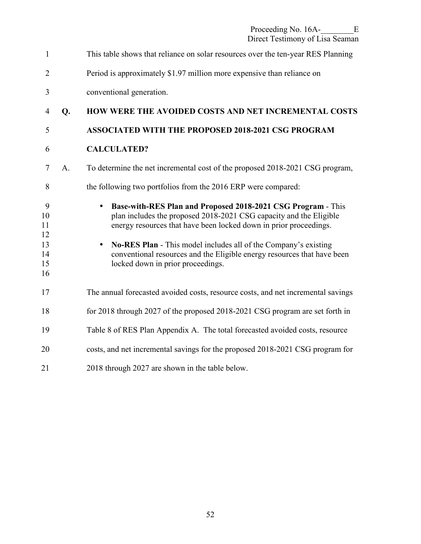| $\mathbf{1}$                                |    | This table shows that reliance on solar resources over the ten-year RES Planning                                                                                                                                                                                                                                                                                                                                     |
|---------------------------------------------|----|----------------------------------------------------------------------------------------------------------------------------------------------------------------------------------------------------------------------------------------------------------------------------------------------------------------------------------------------------------------------------------------------------------------------|
| $\overline{2}$                              |    | Period is approximately \$1.97 million more expensive than reliance on                                                                                                                                                                                                                                                                                                                                               |
| 3                                           |    | conventional generation.                                                                                                                                                                                                                                                                                                                                                                                             |
| $\overline{4}$                              | Q. | HOW WERE THE AVOIDED COSTS AND NET INCREMENTAL COSTS                                                                                                                                                                                                                                                                                                                                                                 |
| 5                                           |    | ASSOCIATED WITH THE PROPOSED 2018-2021 CSG PROGRAM                                                                                                                                                                                                                                                                                                                                                                   |
| 6                                           |    | <b>CALCULATED?</b>                                                                                                                                                                                                                                                                                                                                                                                                   |
| $\tau$                                      | A. | To determine the net incremental cost of the proposed 2018-2021 CSG program,                                                                                                                                                                                                                                                                                                                                         |
| 8                                           |    | the following two portfolios from the 2016 ERP were compared:                                                                                                                                                                                                                                                                                                                                                        |
| 9<br>10<br>11<br>12<br>13<br>14<br>15<br>16 |    | Base-with-RES Plan and Proposed 2018-2021 CSG Program - This<br>$\bullet$<br>plan includes the proposed 2018-2021 CSG capacity and the Eligible<br>energy resources that have been locked down in prior proceedings.<br>No-RES Plan - This model includes all of the Company's existing<br>$\bullet$<br>conventional resources and the Eligible energy resources that have been<br>locked down in prior proceedings. |
| 17                                          |    | The annual forecasted avoided costs, resource costs, and net incremental savings                                                                                                                                                                                                                                                                                                                                     |
| 18                                          |    | for 2018 through 2027 of the proposed 2018-2021 CSG program are set forth in                                                                                                                                                                                                                                                                                                                                         |
| 19                                          |    | Table 8 of RES Plan Appendix A. The total forecasted avoided costs, resource                                                                                                                                                                                                                                                                                                                                         |
| 20                                          |    | costs, and net incremental savings for the proposed 2018-2021 CSG program for                                                                                                                                                                                                                                                                                                                                        |
| 21                                          |    | 2018 through 2027 are shown in the table below.                                                                                                                                                                                                                                                                                                                                                                      |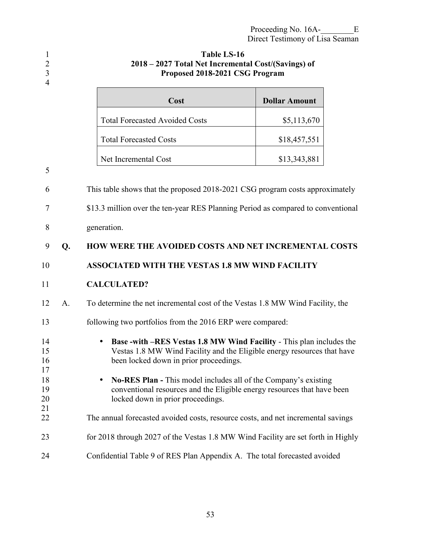| $\mathbf{1}$<br>$\sqrt{2}$<br>$\overline{3}$<br>$\overline{4}$ | <b>Table LS-16</b><br>2018 – 2027 Total Net Incremental Cost/(Savings) of<br>Proposed 2018-2021 CSG Program |                                                                                                                                                                                           |                      |  |
|----------------------------------------------------------------|-------------------------------------------------------------------------------------------------------------|-------------------------------------------------------------------------------------------------------------------------------------------------------------------------------------------|----------------------|--|
|                                                                |                                                                                                             | Cost                                                                                                                                                                                      | <b>Dollar Amount</b> |  |
|                                                                |                                                                                                             | <b>Total Forecasted Avoided Costs</b>                                                                                                                                                     | \$5,113,670          |  |
|                                                                |                                                                                                             | <b>Total Forecasted Costs</b>                                                                                                                                                             | \$18,457,551         |  |
|                                                                |                                                                                                             | Net Incremental Cost                                                                                                                                                                      | \$13,343,881         |  |
| 5<br>6                                                         |                                                                                                             | This table shows that the proposed 2018-2021 CSG program costs approximately                                                                                                              |                      |  |
|                                                                |                                                                                                             |                                                                                                                                                                                           |                      |  |
| 7                                                              |                                                                                                             | \$13.3 million over the ten-year RES Planning Period as compared to conventional                                                                                                          |                      |  |
| 8                                                              |                                                                                                             | generation.                                                                                                                                                                               |                      |  |
| 9                                                              | Q.                                                                                                          | <b>HOW WERE THE AVOIDED COSTS AND NET INCREMENTAL COSTS</b>                                                                                                                               |                      |  |
| 10                                                             |                                                                                                             | <b>ASSOCIATED WITH THE VESTAS 1.8 MW WIND FACILITY</b>                                                                                                                                    |                      |  |
| 11                                                             |                                                                                                             | <b>CALCULATED?</b>                                                                                                                                                                        |                      |  |
| 12                                                             | A.                                                                                                          | To determine the net incremental cost of the Vestas 1.8 MW Wind Facility, the                                                                                                             |                      |  |
| 13                                                             |                                                                                                             | following two portfolios from the 2016 ERP were compared:                                                                                                                                 |                      |  |
| 14<br>15<br>16<br>17                                           |                                                                                                             | Base -with -RES Vestas 1.8 MW Wind Facility - This plan includes the<br>Vestas 1.8 MW Wind Facility and the Eligible energy resources that have<br>been locked down in prior proceedings. |                      |  |
| 18<br>19<br>20                                                 |                                                                                                             | <b>No-RES Plan - This model includes all of the Company's existing</b><br>conventional resources and the Eligible energy resources that have been<br>locked down in prior proceedings.    |                      |  |
| 21<br>22                                                       |                                                                                                             | The annual forecasted avoided costs, resource costs, and net incremental savings                                                                                                          |                      |  |
| 23                                                             |                                                                                                             | for 2018 through 2027 of the Vestas 1.8 MW Wind Facility are set forth in Highly                                                                                                          |                      |  |
| 24                                                             |                                                                                                             | Confidential Table 9 of RES Plan Appendix A. The total forecasted avoided                                                                                                                 |                      |  |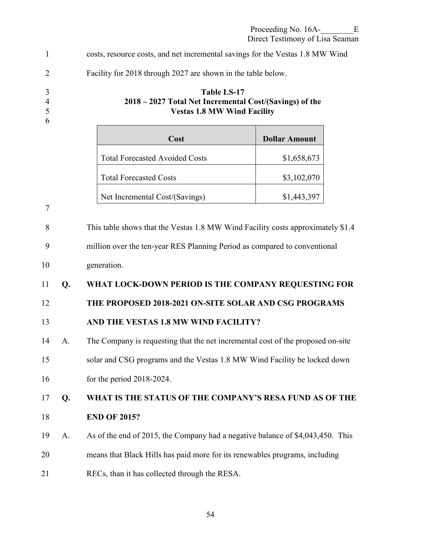|    |                                                                                 | Proceeding No. 16A-<br>Ε<br>Direct Testimony of Lisa Seaman                                                                                                                                                                                                                                                                                                                                                                                                                                                                                                                                                                                                                                                    |  |
|----|---------------------------------------------------------------------------------|----------------------------------------------------------------------------------------------------------------------------------------------------------------------------------------------------------------------------------------------------------------------------------------------------------------------------------------------------------------------------------------------------------------------------------------------------------------------------------------------------------------------------------------------------------------------------------------------------------------------------------------------------------------------------------------------------------------|--|
|    |                                                                                 |                                                                                                                                                                                                                                                                                                                                                                                                                                                                                                                                                                                                                                                                                                                |  |
|    | Facility for 2018 through 2027 are shown in the table below.                    |                                                                                                                                                                                                                                                                                                                                                                                                                                                                                                                                                                                                                                                                                                                |  |
|    | <b>Table LS-17</b>                                                              | 2018 – 2027 Total Net Incremental Cost/(Savings) of the<br><b>Vestas 1.8 MW Wind Facility</b>                                                                                                                                                                                                                                                                                                                                                                                                                                                                                                                                                                                                                  |  |
|    | Cost                                                                            | <b>Dollar Amount</b>                                                                                                                                                                                                                                                                                                                                                                                                                                                                                                                                                                                                                                                                                           |  |
|    | <b>Total Forecasted Avoided Costs</b>                                           | \$1,658,673                                                                                                                                                                                                                                                                                                                                                                                                                                                                                                                                                                                                                                                                                                    |  |
|    | <b>Total Forecasted Costs</b>                                                   | \$3,102,070                                                                                                                                                                                                                                                                                                                                                                                                                                                                                                                                                                                                                                                                                                    |  |
|    | Net Incremental Cost/(Savings)                                                  | \$1,443,397                                                                                                                                                                                                                                                                                                                                                                                                                                                                                                                                                                                                                                                                                                    |  |
|    |                                                                                 |                                                                                                                                                                                                                                                                                                                                                                                                                                                                                                                                                                                                                                                                                                                |  |
|    | This table shows that the Vestas 1.8 MW Wind Facility costs approximately \$1.4 |                                                                                                                                                                                                                                                                                                                                                                                                                                                                                                                                                                                                                                                                                                                |  |
|    |                                                                                 |                                                                                                                                                                                                                                                                                                                                                                                                                                                                                                                                                                                                                                                                                                                |  |
|    | generation.                                                                     |                                                                                                                                                                                                                                                                                                                                                                                                                                                                                                                                                                                                                                                                                                                |  |
| Q. |                                                                                 |                                                                                                                                                                                                                                                                                                                                                                                                                                                                                                                                                                                                                                                                                                                |  |
|    |                                                                                 |                                                                                                                                                                                                                                                                                                                                                                                                                                                                                                                                                                                                                                                                                                                |  |
|    |                                                                                 |                                                                                                                                                                                                                                                                                                                                                                                                                                                                                                                                                                                                                                                                                                                |  |
| A. |                                                                                 |                                                                                                                                                                                                                                                                                                                                                                                                                                                                                                                                                                                                                                                                                                                |  |
|    |                                                                                 |                                                                                                                                                                                                                                                                                                                                                                                                                                                                                                                                                                                                                                                                                                                |  |
|    | for the period $2018-2024$ .                                                    |                                                                                                                                                                                                                                                                                                                                                                                                                                                                                                                                                                                                                                                                                                                |  |
| Q. |                                                                                 |                                                                                                                                                                                                                                                                                                                                                                                                                                                                                                                                                                                                                                                                                                                |  |
|    | <b>END OF 2015?</b>                                                             |                                                                                                                                                                                                                                                                                                                                                                                                                                                                                                                                                                                                                                                                                                                |  |
| A. |                                                                                 |                                                                                                                                                                                                                                                                                                                                                                                                                                                                                                                                                                                                                                                                                                                |  |
|    |                                                                                 |                                                                                                                                                                                                                                                                                                                                                                                                                                                                                                                                                                                                                                                                                                                |  |
|    |                                                                                 | costs, resource costs, and net incremental savings for the Vestas 1.8 MW Wind<br>million over the ten-year RES Planning Period as compared to conventional<br>WHAT LOCK-DOWN PERIOD IS THE COMPANY REQUESTING FOR<br>THE PROPOSED 2018-2021 ON-SITE SOLAR AND CSG PROGRAMS<br>AND THE VESTAS 1.8 MW WIND FACILITY?<br>The Company is requesting that the net incremental cost of the proposed on-site<br>solar and CSG programs and the Vestas 1.8 MW Wind Facility be locked down<br>WHAT IS THE STATUS OF THE COMPANY'S RESA FUND AS OF THE<br>As of the end of 2015, the Company had a negative balance of \$4,043,450. This<br>means that Black Hills has paid more for its renewables programs, including |  |

21 RECs, than it has collected through the RESA.

 $10$ 

 $18\,$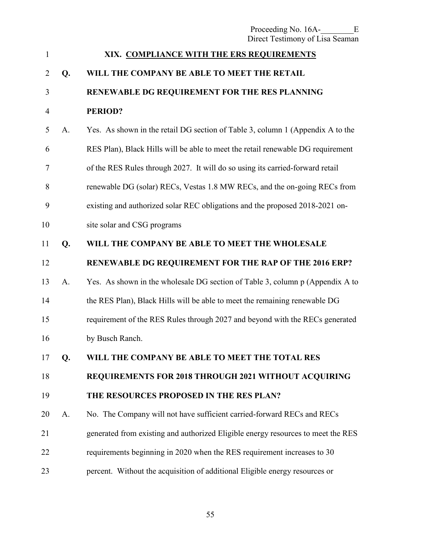| $\mathbf{1}$   |    | XIX. COMPLIANCE WITH THE ERS REQUIREMENTS                                        |
|----------------|----|----------------------------------------------------------------------------------|
| $\overline{2}$ | Q. | WILL THE COMPANY BE ABLE TO MEET THE RETAIL                                      |
| 3              |    | RENEWABLE DG REQUIREMENT FOR THE RES PLANNING                                    |
| $\overline{4}$ |    | <b>PERIOD?</b>                                                                   |
| 5              | A. | Yes. As shown in the retail DG section of Table 3, column 1 (Appendix A to the   |
| 6              |    | RES Plan), Black Hills will be able to meet the retail renewable DG requirement  |
| 7              |    | of the RES Rules through 2027. It will do so using its carried-forward retail    |
| 8              |    | renewable DG (solar) RECs, Vestas 1.8 MW RECs, and the on-going RECs from        |
| 9              |    | existing and authorized solar REC obligations and the proposed 2018-2021 on-     |
| 10             |    | site solar and CSG programs                                                      |
| 11             | Q. | WILL THE COMPANY BE ABLE TO MEET THE WHOLESALE                                   |
| 12             |    | RENEWABLE DG REQUIREMENT FOR THE RAP OF THE 2016 ERP?                            |
| 13             | A. | Yes. As shown in the wholesale DG section of Table 3, column p (Appendix A to    |
| 14             |    | the RES Plan), Black Hills will be able to meet the remaining renewable DG       |
| 15             |    | requirement of the RES Rules through 2027 and beyond with the RECs generated     |
| 16             |    | by Busch Ranch.                                                                  |
| 17             | Q. | WILL THE COMPANY BE ABLE TO MEET THE TOTAL RES                                   |
| 18             |    | REQUIREMENTS FOR 2018 THROUGH 2021 WITHOUT ACQUIRING                             |
| 19             |    | THE RESOURCES PROPOSED IN THE RES PLAN?                                          |
| 20             | A. | No. The Company will not have sufficient carried-forward RECs and RECs           |
| 21             |    | generated from existing and authorized Eligible energy resources to meet the RES |
| 22             |    | requirements beginning in 2020 when the RES requirement increases to 30          |
| 23             |    | percent. Without the acquisition of additional Eligible energy resources or      |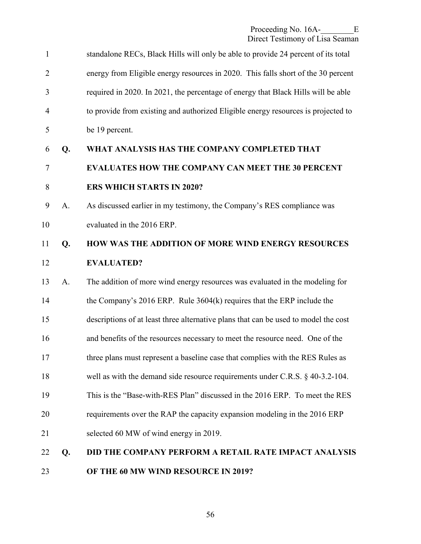| $\mathbf{1}$   |             | standalone RECs, Black Hills will only be able to provide 24 percent of its total   |
|----------------|-------------|-------------------------------------------------------------------------------------|
| $\overline{2}$ |             | energy from Eligible energy resources in 2020. This falls short of the 30 percent   |
| 3              |             | required in 2020. In 2021, the percentage of energy that Black Hills will be able   |
| 4              |             | to provide from existing and authorized Eligible energy resources is projected to   |
| 5              |             | be 19 percent.                                                                      |
| 6              | Q.          | WHAT ANALYSIS HAS THE COMPANY COMPLETED THAT                                        |
| 7              |             | <b>EVALUATES HOW THE COMPANY CAN MEET THE 30 PERCENT</b>                            |
| 8              |             | <b>ERS WHICH STARTS IN 2020?</b>                                                    |
| 9              | A.          | As discussed earlier in my testimony, the Company's RES compliance was              |
| 10             |             | evaluated in the 2016 ERP.                                                          |
| 11             | Q.          | HOW WAS THE ADDITION OF MORE WIND ENERGY RESOURCES                                  |
| 12             |             | <b>EVALUATED?</b>                                                                   |
| 13             | $A_{\cdot}$ | The addition of more wind energy resources was evaluated in the modeling for        |
| 14             |             | the Company's 2016 ERP. Rule 3604(k) requires that the ERP include the              |
| 15             |             | descriptions of at least three alternative plans that can be used to model the cost |
| 16             |             | and benefits of the resources necessary to meet the resource need. One of the       |
| 17             |             | three plans must represent a baseline case that complies with the RES Rules as      |
| 18             |             | well as with the demand side resource requirements under C.R.S. § 40-3.2-104.       |
| 19             |             | This is the "Base-with-RES Plan" discussed in the 2016 ERP. To meet the RES         |
| 20             |             | requirements over the RAP the capacity expansion modeling in the 2016 ERP           |
| 21             |             | selected 60 MW of wind energy in 2019.                                              |
| 22             | Q.          | <b>DID THE COMPANY PERFORM A RETAIL RATE IMPACT ANALYSIS</b>                        |
| 23             |             | OF THE 60 MW WIND RESOURCE IN 2019?                                                 |
|                |             |                                                                                     |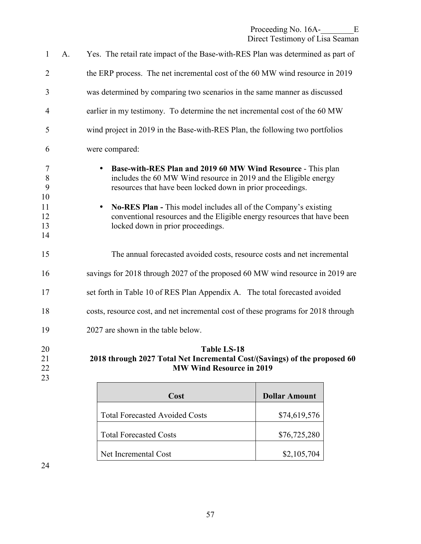| $\mathbf{1}$                                           | A. | Yes. The retail rate impact of the Base-with-RES Plan was determined as part of                                                                                                                                                                                                                                                                                                                      |
|--------------------------------------------------------|----|------------------------------------------------------------------------------------------------------------------------------------------------------------------------------------------------------------------------------------------------------------------------------------------------------------------------------------------------------------------------------------------------------|
| $\overline{2}$                                         |    | the ERP process. The net incremental cost of the 60 MW wind resource in 2019                                                                                                                                                                                                                                                                                                                         |
| 3                                                      |    | was determined by comparing two scenarios in the same manner as discussed                                                                                                                                                                                                                                                                                                                            |
| $\overline{4}$                                         |    | earlier in my testimony. To determine the net incremental cost of the 60 MW                                                                                                                                                                                                                                                                                                                          |
| 5                                                      |    | wind project in 2019 in the Base-with-RES Plan, the following two portfolios                                                                                                                                                                                                                                                                                                                         |
| 6                                                      |    | were compared:                                                                                                                                                                                                                                                                                                                                                                                       |
| $\overline{7}$<br>8<br>9<br>10<br>11<br>12<br>13<br>14 |    | Base-with-RES Plan and 2019 60 MW Wind Resource - This plan<br>includes the 60 MW Wind resource in 2019 and the Eligible energy<br>resources that have been locked down in prior proceedings.<br><b>No-RES Plan - This model includes all of the Company's existing</b><br>$\bullet$<br>conventional resources and the Eligible energy resources that have been<br>locked down in prior proceedings. |
| 15                                                     |    | The annual forecasted avoided costs, resource costs and net incremental                                                                                                                                                                                                                                                                                                                              |
| 16                                                     |    | savings for 2018 through 2027 of the proposed 60 MW wind resource in 2019 are                                                                                                                                                                                                                                                                                                                        |
| 17                                                     |    | set forth in Table 10 of RES Plan Appendix A. The total forecasted avoided                                                                                                                                                                                                                                                                                                                           |
| 18                                                     |    | costs, resource cost, and net incremental cost of these programs for 2018 through                                                                                                                                                                                                                                                                                                                    |
| 19                                                     |    | 2027 are shown in the table below.                                                                                                                                                                                                                                                                                                                                                                   |
| 20<br>21<br>22<br>23                                   |    | <b>Table LS-18</b><br>2018 through 2027 Total Net Incremental Cost/(Savings) of the proposed 60<br><b>MW Wind Resource in 2019</b>                                                                                                                                                                                                                                                                   |

| Cost                                  | <b>Dollar Amount</b> |
|---------------------------------------|----------------------|
| <b>Total Forecasted Avoided Costs</b> | \$74,619,576         |
| <b>Total Forecasted Costs</b>         | \$76,725,280         |
| Net Incremental Cost                  | \$2,105,704          |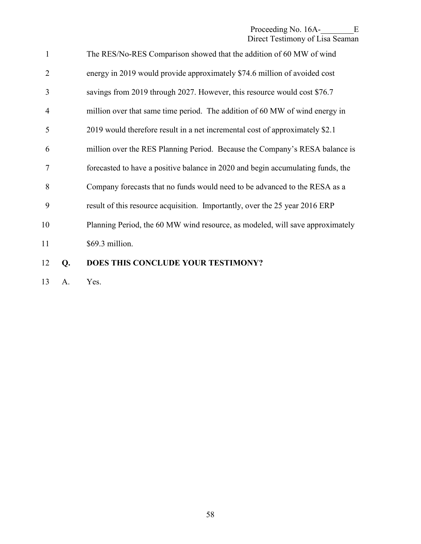| 12             | Q. | DOES THIS CONCLUDE YOUR TESTIMONY?                                              |
|----------------|----|---------------------------------------------------------------------------------|
| 11             |    | \$69.3 million.                                                                 |
| 10             |    | Planning Period, the 60 MW wind resource, as modeled, will save approximately   |
| 9              |    | result of this resource acquisition. Importantly, over the 25 year 2016 ERP     |
| 8              |    | Company forecasts that no funds would need to be advanced to the RESA as a      |
| 7              |    | forecasted to have a positive balance in 2020 and begin accumulating funds, the |
| 6              |    | million over the RES Planning Period. Because the Company's RESA balance is     |
| 5              |    | 2019 would therefore result in a net incremental cost of approximately \$2.1    |
| $\overline{4}$ |    | million over that same time period. The addition of 60 MW of wind energy in     |
| 3              |    | savings from 2019 through 2027. However, this resource would cost \$76.7        |
| $\overline{2}$ |    | energy in 2019 would provide approximately \$74.6 million of avoided cost       |
| $\mathbf{1}$   |    | The RES/No-RES Comparison showed that the addition of 60 MW of wind             |

13 A. Yes.